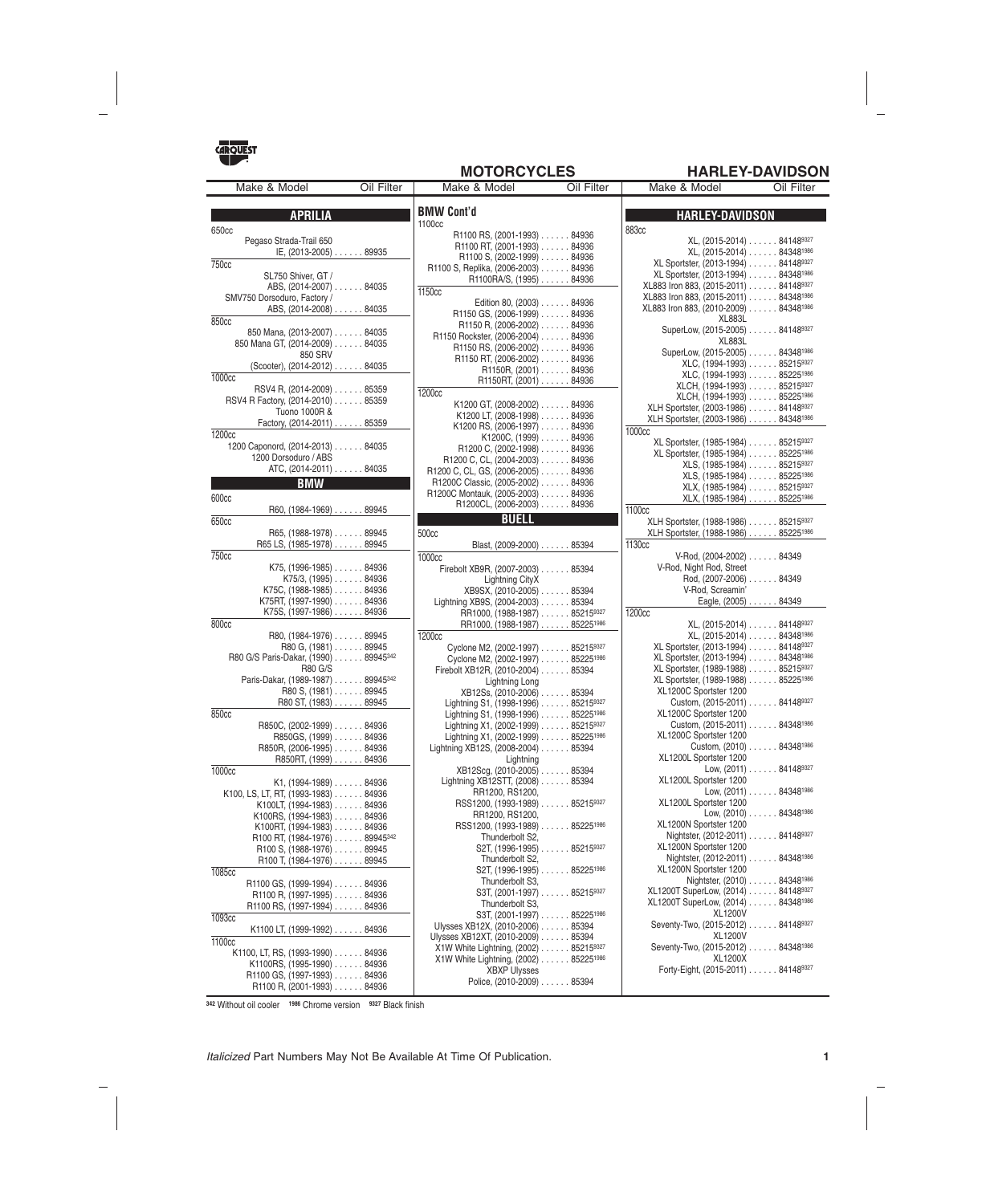

## **MOTORCYCLES HARLEY-DAVIDSON**

| Make & Model                                               | Oil Filter | Make & Model                                                            | Oil Filter | Make & Model                                                                           | Oil Filter                              |
|------------------------------------------------------------|------------|-------------------------------------------------------------------------|------------|----------------------------------------------------------------------------------------|-----------------------------------------|
|                                                            |            |                                                                         |            |                                                                                        |                                         |
| <b>APRILIA</b>                                             |            | <b>BMW Cont'd</b>                                                       |            | <b>HARLEY-DAVIDSON</b>                                                                 |                                         |
| 650cc                                                      |            | 1100cc<br>R1100 RS, (2001-1993) 84936                                   |            | <b>883cc</b>                                                                           |                                         |
| Pegaso Strada-Trail 650                                    |            | R1100 RT, (2001-1993) 84936                                             |            |                                                                                        | XL, (2015-2014) 841489327               |
| IE, (2013-2005) 89935                                      |            | $R1100 S, (2002-1999) \ldots$ 84936                                     |            |                                                                                        | XL, (2015-2014) 843481986               |
| 750 <sub>cc</sub>                                          |            | R1100 S, Replika, (2006-2003) 84936                                     |            | XL Sportster, (2013-1994) 841489327                                                    |                                         |
| SL750 Shiver, GT /<br>ABS, (2014-2007) 84035               |            | R1100RA/S, (1995) 84936                                                 |            | XL Sportster, (2013-1994) 843481986<br>XL883 Iron 883, (2015-2011) 841489327           |                                         |
| SMV750 Dorsoduro, Factory /                                |            | 1150cc                                                                  |            | XL883 Iron 883, (2015-2011) 84348 <sup>1986</sup>                                      |                                         |
| ABS, (2014-2008) 84035                                     |            | Edition 80, (2003) 84936                                                |            | XL883 Iron 883, (2010-2009) 84348 <sup>1986</sup>                                      |                                         |
| 850cc                                                      |            | R1150 GS, (2006-1999) 84936<br>R1150 R, (2006-2002) 84936               |            | XL883L                                                                                 |                                         |
| 850 Mana, (2013-2007) 84035                                |            | R1150 Rockster, (2006-2004) 84936                                       |            | SuperLow, (2015-2005) 841489327                                                        |                                         |
| 850 Mana GT, (2014-2009) 84035                             |            | R1150 RS, $(2006-2002)$ 84936                                           |            | XL883L<br>SuperLow, (2015-2005) 843481986                                              |                                         |
| 850 SRV<br>(Scooter), (2014-2012) 84035                    |            | R1150 RT, (2006-2002) 84936                                             |            | XLC, (1994-1993) 852159327                                                             |                                         |
| 1000 <sub>cc</sub>                                         |            | R1150R, (2001) 84936                                                    |            | XLC, (1994-1993) 852251986                                                             |                                         |
| RSV4 R, (2014-2009) 85359                                  |            | R1150RT, (2001) 84936<br>1200 <sub>cc</sub>                             |            | XLCH, $(1994-1993)$ 852159327                                                          |                                         |
| RSV4 R Factory, (2014-2010) 85359                          |            | K1200 GT, (2008-2002) 84936                                             |            | XLCH, (1994-1993) 85225 <sup>1986</sup>                                                |                                         |
| Tuono 1000R &                                              |            | K1200 LT, $(2008-1998)$ 84936                                           |            | XLH Sportster, (2003-1986) 841489327                                                   |                                         |
| Factory, (2014-2011) 85359                                 |            | K1200 RS, $(2006-1997)$ 84936                                           |            | XLH Sportster, (2003-1986) 843481986<br>1000cc                                         |                                         |
| 1200cc                                                     |            | $K1200C, (1999) \ldots$ 84936                                           |            | XL Sportster, (1985-1984) 852159327                                                    |                                         |
| 1200 Caponord, (2014-2013) 84035                           |            | R1200 C, $(2002-1998)$ 84936                                            |            | XL Sportster, (1985-1984) 85225 <sup>1986</sup>                                        |                                         |
| 1200 Dorsoduro / ABS<br>ATC, (2014-2011) 84035             |            | R1200 C, CL, $(2004-2003)$ 84936                                        |            | XLS, (1985-1984) 852159327                                                             |                                         |
| <b>BMW</b>                                                 |            | R1200 C, CL, GS, (2006-2005) 84936<br>R1200C Classic, (2005-2002) 84936 |            | XLS, (1985-1984) 85225 <sup>1986</sup>                                                 |                                         |
|                                                            |            | R1200C Montauk, (2005-2003) 84936                                       |            | XLX, (1985-1984) 852159327                                                             |                                         |
| 600cc<br>R60, (1984-1969) 89945                            |            | R1200CL, (2006-2003) 84936                                              |            | XLX, (1985-1984) 852251986                                                             |                                         |
| 650cc                                                      |            | <b>BUELL</b>                                                            |            | 1100cc<br>XLH Sportster, (1988-1986) 852159327                                         |                                         |
| $R65, (1988-1978) \ldots$ . 89945                          |            | 500cc                                                                   |            | XLH Sportster, (1988-1986) 852251986                                                   |                                         |
| R65 LS, (1985-1978) 89945                                  |            | Blast, (2009-2000) 85394                                                |            | 1130cc                                                                                 |                                         |
| 750 <sub>cc</sub>                                          |            | 1000cc                                                                  |            | V-Rod, (2004-2002) 84349                                                               |                                         |
| $K75, (1996-1985) \ldots$ . 84936                          |            | Firebolt XB9R, (2007-2003) 85394                                        |            | V-Rod, Night Rod, Street                                                               |                                         |
| $K75/3$ , $(1995)$ 84936                                   |            | Lightning CityX                                                         |            | Rod, (2007-2006) 84349                                                                 |                                         |
| K75C, (1988-1985)84936<br>K75RT, (1997-1990) 84936         |            | XB9SX, (2010-2005) 85394                                                |            | V-Rod, Screamin'                                                                       | Eagle, (2005) 84349                     |
| K75S, (1997-1986) 84936                                    |            | Lightning XB9S, (2004-2003) 85394<br>RR1000, (1988-1987) 852159327      |            | 1200 <sub>cc</sub>                                                                     |                                         |
| 800 <sub>cc</sub>                                          |            | RR1000, (1988-1987) 852251986                                           |            |                                                                                        | XL, (2015-2014) 841489327               |
| $R80, (1984-1976) \ldots$ . 89945                          |            | 1200cc                                                                  |            |                                                                                        | XL, (2015-2014) 84348 <sup>1986</sup>   |
| R80 G, (1981) 89945                                        |            | Cyclone M2, (2002-1997) 852159327                                       |            | XL Sportster, (2013-1994) 841489327                                                    |                                         |
| R80 G/S Paris-Dakar, (1990) 89945342                       |            | Cyclone M2, (2002-1997) 852251986                                       |            | XL Sportster, (2013-1994) 843481986                                                    |                                         |
| <b>R80 G/S</b><br>Paris-Dakar, (1989-1987) 89945342        |            | Firebolt XB12R, (2010-2004) 85394                                       |            | XL Sportster, (1989-1988) 852159327<br>XL Sportster, (1989-1988) 85225 <sup>1986</sup> |                                         |
| R80 S, (1981) 89945                                        |            | Lightning Long<br>XB12Ss, (2010-2006) 85394                             |            | XL1200C Sportster 1200                                                                 |                                         |
| R80 ST, (1983) 89945                                       |            | Lightning S1, (1998-1996) 852159327                                     |            | Custom, (2015-2011) 841489327                                                          |                                         |
| 850cc                                                      |            | Lightning S1, (1998-1996) 852251986                                     |            | XL1200C Sportster 1200                                                                 |                                         |
| R850C, (2002-1999) 84936                                   |            | Lightning X1, (2002-1999) 852159327                                     |            | Custom, (2015-2011) 843481986                                                          |                                         |
| R850GS, (1999) 84936                                       |            | Lightning X1, (2002-1999) 852251986                                     |            | XL1200C Sportster 1200                                                                 | Custom, (2010) 843481986                |
| R850R, (2006-1995) 84936<br>R850RT, (1999) 84936           |            | Lightning XB12S, $(2008-2004)$ 85394<br>Lightning                       |            | XL1200L Sportster 1200                                                                 |                                         |
| 1000cc                                                     |            | XB12Scg, (2010-2005) 85394                                              |            |                                                                                        | Low, $(2011)$ 841489327                 |
| $K1, (1994-1989) \ldots$ . 84936                           |            | Lightning XB12STT, (2008) 85394                                         |            | XL1200L Sportster 1200                                                                 |                                         |
| K100, LS, LT, RT, (1993-1983) 84936                        |            | RR1200, RS1200,                                                         |            |                                                                                        | Low, $(2011)$ 84348 <sup>1986</sup>     |
| K100LT, (1994-1983) 84936                                  |            | RSS1200, (1993-1989) 852159327                                          |            | XL1200L Sportster 1200                                                                 | Low, (2010) 843481986                   |
| K100RS, (1994-1983) 84936                                  |            | RR1200, RS1200,<br>RSS1200, (1993-1989) 85225 <sup>1986</sup>           |            | XL1200N Sportster 1200                                                                 |                                         |
| K100RT, (1994-1983) 84936<br>R100 RT, (1984-1976) 89945342 |            | Thunderbolt S2,                                                         |            | Nightster, (2012-2011) 841489327                                                       |                                         |
| $R100 S, (1988-1976) \ldots$ 89945                         |            | S2T, (1996-1995) 852159327                                              |            | XL1200N Sportster 1200                                                                 |                                         |
| R100 T, (1984-1976) 89945                                  |            | Thunderbolt S2,                                                         |            | Nightster, (2012-2011) 84348 <sup>1986</sup>                                           |                                         |
| 1085cc                                                     |            | S2T, (1996-1995) 85225 <sup>1986</sup>                                  |            | XL1200N Sportster 1200                                                                 |                                         |
| R1100 GS, (1999-1994) 84936                                |            | Thunderbolt S3,<br>S3T, (2001-1997) 852159327                           |            | XL1200T SuperLow, (2014) 841489327                                                     | Nightster, (2010) 84348 <sup>1986</sup> |
| R1100 R, (1997-1995) 84936                                 |            | Thunderbolt S3,                                                         |            | XL1200T SuperLow, (2014) 84348 <sup>1986</sup>                                         |                                         |
| R1100 RS, (1997-1994) 84936<br>1093cc                      |            | S3T, (2001-1997) 85225 <sup>1986</sup>                                  |            | XL1200V                                                                                |                                         |
| K1100 LT, (1999-1992) 84936                                |            | Ulysses XB12X, (2010-2006) 85394                                        |            | Seventy-Two, (2015-2012) 841489327                                                     |                                         |
| 1100cc                                                     |            | Ulysses XB12XT, (2010-2009) 85394                                       |            | <b>XL1200V</b>                                                                         |                                         |
| K1100, LT, RS, (1993-1990) 84936                           |            | X1W White Lightning, (2002) 852159327                                   |            | Seventy-Two, (2015-2012) 843481986                                                     |                                         |
| K1100RS, (1995-1990) 84936                                 |            | X1W White Lightning, (2002) 852251986<br><b>XBXP Ulysses</b>            |            | XL1200X<br>Forty-Eight, (2015-2011) 841489327                                          |                                         |
| R1100 GS, (1997-1993) 84936                                |            | Police, (2010-2009) 85394                                               |            |                                                                                        |                                         |
| R1100 R, (2001-1993) 84936                                 |            |                                                                         |            |                                                                                        |                                         |

**<sup>342</sup>** Without oil cooler **<sup>1986</sup>** Chrome version **<sup>9327</sup>** Black finish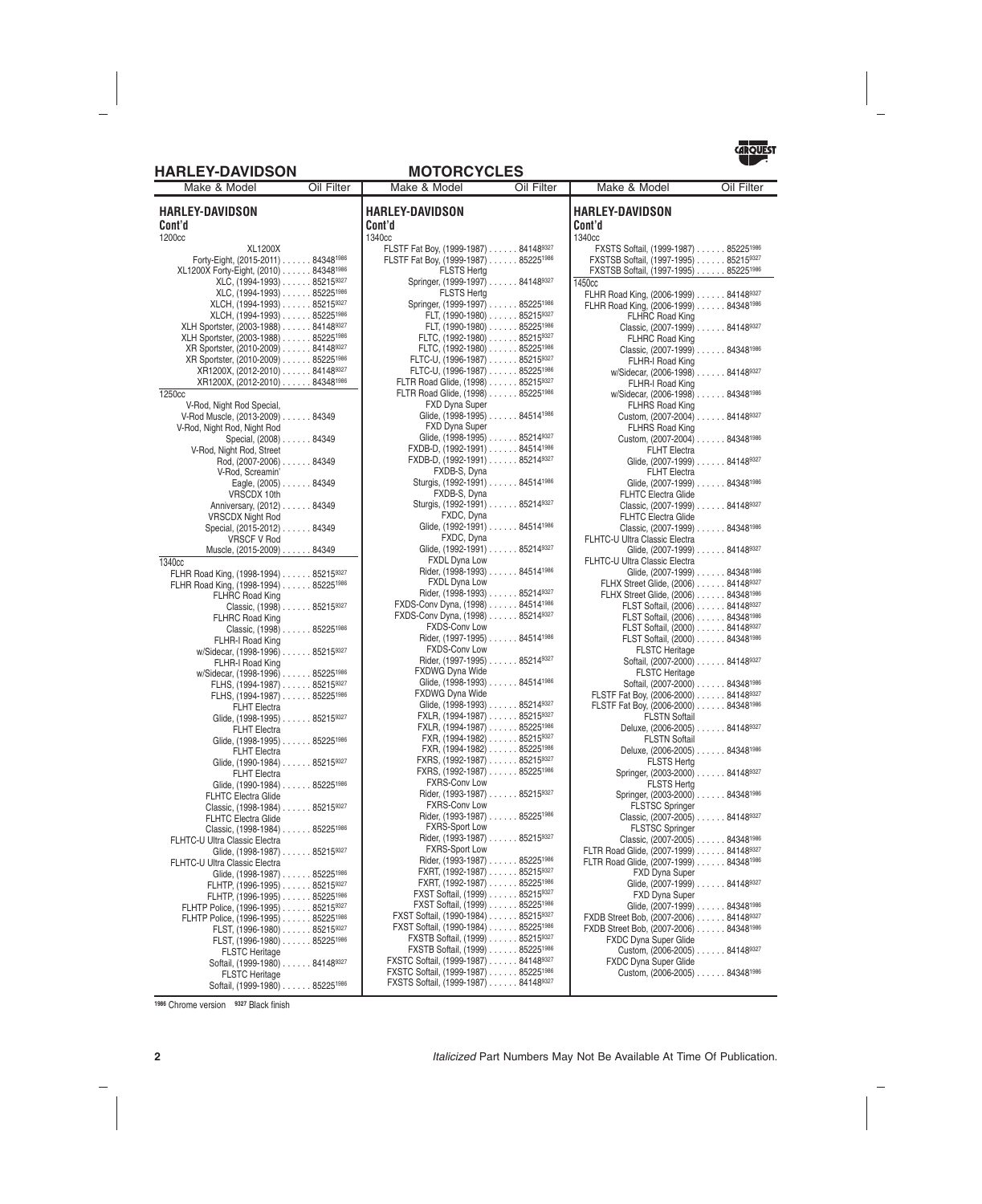### **HARLEY-DAVIDSON MOTORCYCLES**



**HARLEY-DAVIDSON Cont'd** 1200cc XL1200X Forty-Eight, (2015-2011) ...... 843481986 XL1200X Forty-Eight, (2010) ...... 843481986 XLC, (1994-1993) ...... 852159327 XLC, (1994-1993) ...... 852251986 XLCH, (1994-1993) . . . . . . 85215<sup>9327</sup><br>XLCH, (1994-1993) . . . . . . 85225<sup>1986</sup> XLCH, (1994-1993) ...... 85225<sup>1986</sup><br>vortster. (2003-1988) ...... 84148<sup>9327</sup> XLH Sportster, (2003-1988) XLH Sportster, (2003-1988) ...... 85225<sup>1986</sup><br>XR Sportster, (2010-2009) ...... 84148<sup>9327</sup> XR Sportster, (2010-2009) . . . . . . 841489327<br>XR Sportster, (2010-2009) . . . . . . 852251986 XR Sportster, (2010-2009) . . . . . . 85225<sup>1986</sup><br>XR1200X, (2012-2010) . . . . . . 84148<sup>9327</sup> XR1200X, (2012-2010) . . . . . . 84148<sup>9327</sup><br>XR1200X, (2012-2010) . . . . . . 84348<sup>1986</sup> XR1200X, (2012-2010) 1250cc V-Rod, Night Rod Special, V-Rod Muscle, (2013-2009) ...... 84349 V-Rod, Night Rod, Night Rod Special, (2008) ...... 84349 V-Rod, Night Rod, Street Rod, (2007-2006) ...... 84349 V-Rod, Screamin' Eagle, (2005) ...... 84349 VRSCDX 10th Anniversary, (2012) ...... 84349 VRSCDX Night Rod Special, (2015-2012) . . . . . . 84349 VRSCF V Rod Muscle, (2015-2009) ...... 84349 1340cc FLHR Road King, (1998-1994) ...... 852159327 FLHR Road King, (1998-1994) ...... 852251986 FLHRC Road King Classic, (1998) ...... 852159327 FLHRC Road King Classic, (1998) ...... 852251986 FLHR-I Road King w/Sidecar, (1998-1996) . . . . . . 852159327 FLHR-I Road King w/Sidecar, (1998-1996) ...... 852251986 FLHS, (1994-1987) ...... 852159327 FLHS, (1994-1987) ...... 852251986 FLHT Electra Glide, (1998-1995) . . . . . . 852159327 FLHT Electra Glide, (1998-1995) . . . . . . 85225<sup>1986</sup> FLHT Electra Glide, (1990-1984) . . . . . . 852159327 FLHT Electra Glide, (1990-1984) . . . . . . 85225<sup>1986</sup> FLHTC Electra Glide Classic, (1998-1984) ...... 852159327 FLHTC Electra Glide Classic, (1998-1984) ...... 852251986 FLHTC-U Ultra Classic Electra Glide, (1998-1987) . . . . . . 852159327 FLHTC-U Ultra Classic Electra Glide, (1998-1987) . . . . . . 85225<sup>1986</sup> FLHTP, (1996-1995) ...... 852159327 FLHTP, (1996-1995) . . . . . . 85225<sup>1986</sup><br>' Police, (1996-1995) . . . . . . 85215<sup>9327</sup> FLHTP Police, (1996-1995) FLHTP Police, (1996-1995) ...... 85225<sup>1986</sup><br>FLST. (1996-1980) ...... 85215<sup>9327</sup>  $FLST, (1996-1980) \ldots$ ... FLST, (1996-1980) ...... 852251986 FLSTC Heritage Softail, (1999-1980) . . . . . . 841489327 FLSTC Heritage Softail, (1999-1980) . . . . . . 85225<sup>1986</sup> Make & Model **Oil Filter** | Make & Model **Oil Filter** 

| HARLEY-DAVIDSON                                                                          |  |
|------------------------------------------------------------------------------------------|--|
| Cont'd                                                                                   |  |
| 1340cc<br>FLSTF Fat Boy, (1999-1987) 841489327                                           |  |
| FLSTF Fat Boy, (1999-1987) 852251986<br><b>FLSTS Hertg</b>                               |  |
| Springer, (1999-1997) 841489327<br>FLSTS Hertg                                           |  |
| Springer, (1999-1997) 85225 <sup>1986</sup>                                              |  |
| FLT, (1990-1980) 852159327                                                               |  |
| FLT, (1990-1980) 85225 <sup>1986</sup>                                                   |  |
| FLTC, (1992-1980) 852159327                                                              |  |
| FLTC, (1992-1980) 85225 <sup>1986</sup><br>FLTC-U, (1996-1987) 852159327                 |  |
| FLTC-U, (1996-1987) 852251986                                                            |  |
| FLTR Road Glide, (1998) 852159327                                                        |  |
| FLTR Road Glide, (1998) 852251986                                                        |  |
| FXD Dyna Super                                                                           |  |
| Glide, (1998-1995) 845141986                                                             |  |
| FXD Dyna Super                                                                           |  |
| Glide, (1998-1995) 852149327                                                             |  |
| FXDB-D, (1992-1991) 845141986                                                            |  |
| FXDB-D, (1992-1991) 852149327                                                            |  |
| FXDB-S, Dyna                                                                             |  |
| Sturgis, (1992-1991) 845141986                                                           |  |
| FXDB-S, Dyna                                                                             |  |
| Sturgis, (1992-1991) 852149327<br>FXDC, Dyna                                             |  |
| Glide, (1992-1991) 84514 <sup>1986</sup>                                                 |  |
| FXDC, Dyna                                                                               |  |
| Glide, (1992-1991) 852149327                                                             |  |
| FXDL Dyna Low                                                                            |  |
| Rider, (1998-1993) 845141986                                                             |  |
| FXDL Dyna Low                                                                            |  |
| Rider, (1998-1993) 852149327                                                             |  |
| FXDS-Conv Dyna, (1998) 845141986                                                         |  |
| FXDS-Conv Dyna, (1998) 852149327                                                         |  |
| <b>FXDS-Conv Low</b>                                                                     |  |
| Rider, (1997-1995) 845141986                                                             |  |
| <b>FXDS-Conv Low</b>                                                                     |  |
| Rider, (1997-1995) 852149327                                                             |  |
| FXDWG Dyna Wide<br>Glide, (1998-1993) 845141986                                          |  |
| <b>FXDWG Dyna Wide</b>                                                                   |  |
| Glide, (1998-1993) 852149327                                                             |  |
| FXLR, (1994-1987) 852159327                                                              |  |
| FXLR, (1994-1987) 85225 <sup>1986</sup>                                                  |  |
| FXR, (1994-1982) 852159327                                                               |  |
| FXR, (1994-1982) 85225 <sup>1986</sup>                                                   |  |
| FXRS, (1992-1987) 852159327                                                              |  |
| FXRS, (1992-1987) 852251986                                                              |  |
| <b>FXRS-Conv Low</b>                                                                     |  |
| Rider, (1993-1987) 852159327                                                             |  |
| <b>FXRS-Conv Low</b><br>Rider, (1993-1987) 852251986                                     |  |
| <b>FXRS-Sport Low</b>                                                                    |  |
| Rider, (1993-1987) 852159327                                                             |  |
| <b>FXRS-Sport Low</b>                                                                    |  |
| Rider, (1993-1987) 852251986                                                             |  |
| FXRT, (1992-1987) 852159327                                                              |  |
| FXRT, (1992-1987) 852251986                                                              |  |
| FXST Softail, (1999) 852159327                                                           |  |
| FXST Softail, (1999) 852251986                                                           |  |
| FXST Softail, (1990-1984) 852159327                                                      |  |
| FXST Softail, (1990-1984) 85225 <sup>1986</sup>                                          |  |
| FXSTB Softail, (1999) 852159327                                                          |  |
| FXSTB Softail, (1999) 852251986                                                          |  |
| FXSTC Softail, (1999-1987) 841489327<br>FXSTC Softail, (1999-1987) 85225 <sup>1986</sup> |  |
|                                                                                          |  |

FXSTS Softail, (1999-1987) . . . . . . 841489327

| mant<br><b>EX IVIUUSI</b>                          | וסווו ווע |
|----------------------------------------------------|-----------|
| HARLEY-DAVIDSON<br>Cont'd                          |           |
| 1340cc                                             |           |
| FXSTS Softail, (1999-1987) 85225 <sup>1986</sup>   |           |
| FXSTSB Softail, (1997-1995) 852159327              |           |
| FXSTSB Softail, (1997-1995) 85225 <sup>1986</sup>  |           |
| 1450cc                                             |           |
|                                                    |           |
| FLHR Road King, (2006-1999) 841489327              |           |
| FLHR Road King, (2006-1999) 843481986              |           |
| <b>FLHRC Road King</b>                             |           |
| Classic, (2007-1999) 841489327                     |           |
| <b>FLHRC Road King</b>                             |           |
| Classic, (2007-1999) 843481986                     |           |
| FLHR-I Road King                                   |           |
| w/Sidecar, (2006-1998) 841489327                   |           |
| FLHR-I Road King                                   |           |
| w/Sidecar, (2006-1998) 84348 <sup>1986</sup>       |           |
| <b>FLHRS Road King</b>                             |           |
| Custom, (2007-2004) 841489327                      |           |
|                                                    |           |
| <b>FLHRS Road King</b>                             |           |
| Custom, (2007-2004) 843481986                      |           |
| FLHT Electra                                       |           |
| Glide, (2007-1999) 841489327                       |           |
| <b>FLHT Electra</b>                                |           |
| Glide, (2007-1999) 84348 <sup>1986</sup>           |           |
| <b>FLHTC Electra Glide</b>                         |           |
| Classic, (2007-1999) 841489327                     |           |
| <b>FLHTC Electra Glide</b>                         |           |
| Classic, (2007-1999) 843481986                     |           |
|                                                    |           |
| FLHTC-U Ultra Classic Electra                      |           |
| Glide, (2007-1999) 841489327                       |           |
| FLHTC-U Ultra Classic Electra                      |           |
| Glide, (2007-1999) 843481986                       |           |
| FLHX Street Glide, (2006) 841489327                |           |
| FLHX Street Glide, (2006) 843481986                |           |
| FLST Softail, (2006) 841489327                     |           |
| FLST Softail, (2006) 843481986                     |           |
| FLST Softail, (2000) 841489327                     |           |
| FLST Softail, (2000) 84348 <sup>1986</sup>         |           |
| <b>FLSTC Heritage</b>                              |           |
| Softail, (2007-2000) 841489327                     |           |
|                                                    |           |
| <b>FLSTC Heritage</b>                              |           |
| Softail, (2007-2000) 84348 <sup>1986</sup>         |           |
| FLSTF Fat Boy, (2006-2000) 841489327               |           |
| FLSTF Fat Boy, (2006-2000) 843481986               |           |
| <b>FLSTN Softail</b>                               |           |
| Deluxe, (2006-2005) 841489327                      |           |
| <b>FLSTN Softail</b>                               |           |
| Deluxe, (2006-2005) 843481986                      |           |
| <b>FLSTS Hertg</b>                                 |           |
| Springer, (2003-2000) 841489327                    |           |
| FLSTS Hertg                                        |           |
|                                                    |           |
| Springer, (2003-2000) 843481986                    |           |
| <b>FLSTSC Springer</b>                             |           |
| Classic, (2007-2005) 841489327                     |           |
| <b>FLSTSC Springer</b>                             |           |
| Classic, (2007-2005) 84348 <sup>1986</sup>         |           |
| FLTR Road Glide, (2007-1999) 841489327             |           |
| FLTR Road Glide, (2007-1999) 84348 <sup>1986</sup> |           |
| <b>FXD Dyna Super</b>                              |           |
| Glide, (2007-1999) 841489327                       |           |
| <b>FXD Dyna Super</b>                              |           |
|                                                    |           |
| Glide, (2007-1999) 843481986                       |           |
| FXDB Street Bob, (2007-2006) 841489327             |           |
| FXDB Street Bob, (2007-2006) 843481986             |           |
| FXDC Dyna Super Glide                              |           |
| Custom, (2006-2005) 841489327                      |           |
| FXDC Dyna Super Glide                              |           |

Custom, (2006-2005) ...... 843481986

**<sup>1986</sup>** Chrome version **<sup>9327</sup>** Black finish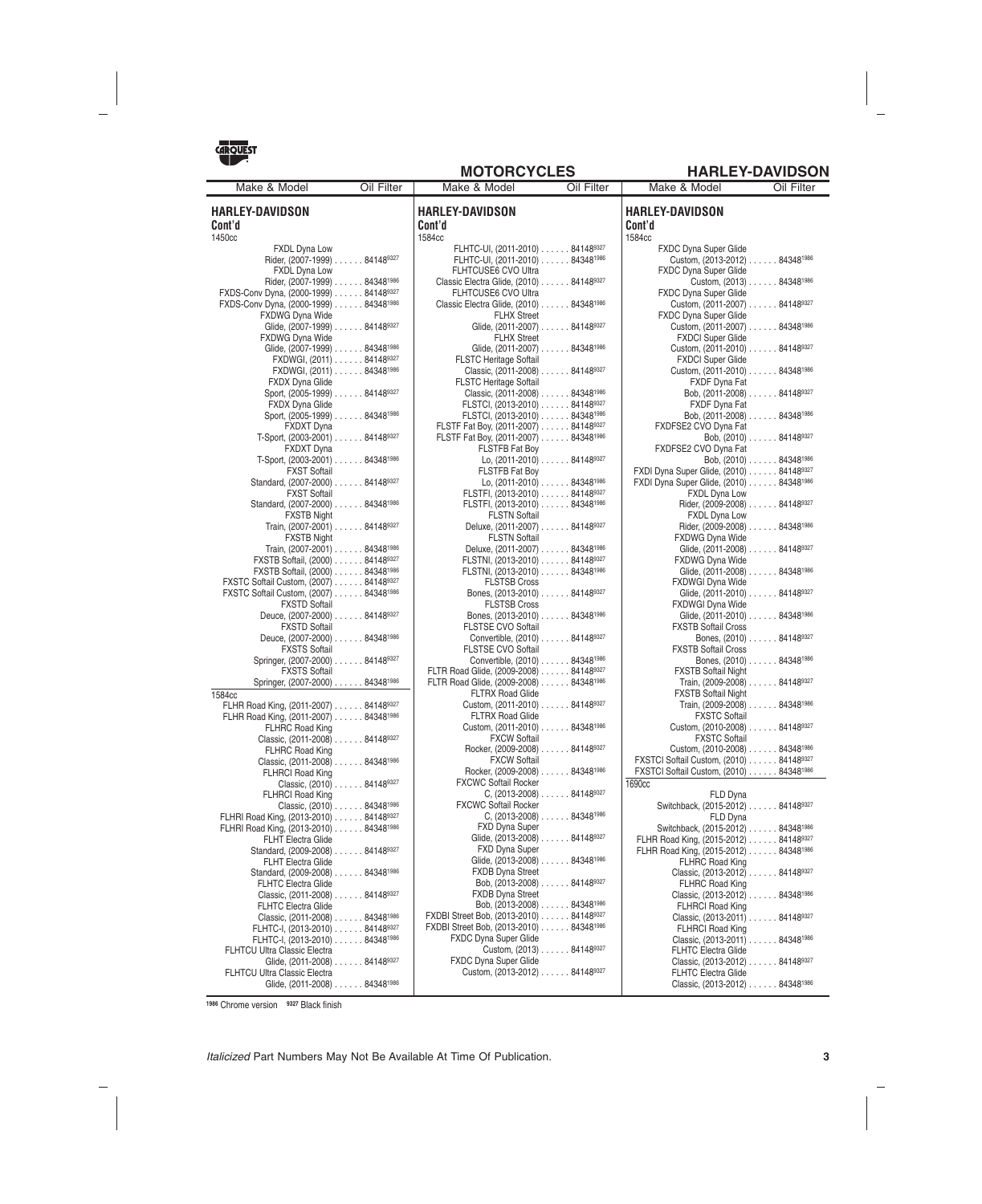Oil Filter | Make & Model Oil Filter

**MOTORCYCLES HARLEY-DAVIDSON**

| <b>ARQUEST</b>                                                     |            |
|--------------------------------------------------------------------|------------|
|                                                                    |            |
| Make & Model                                                       | Oil Filter |
|                                                                    |            |
| HARLEY-DAVIDSON                                                    |            |
| Cont'd                                                             |            |
| 1450cc                                                             |            |
| <b>FXDL Dyna Low</b><br>Rider, (2007-1999) 841489327               |            |
| <b>FXDL Dyna Low</b>                                               |            |
| Rider, (2007-1999) 84348 <sup>1986</sup>                           |            |
| FXDS-Conv Dyna, (2000-1999) 841489327                              |            |
| FXDS-Conv Dyna, (2000-1999) 84348 <sup>1986</sup>                  |            |
| <b>FXDWG Dyna Wide</b>                                             |            |
| Glide, (2007-1999) 841489327                                       |            |
| <b>FXDWG Dyna Wide</b>                                             |            |
| Glide, (2007-1999) 843481986                                       |            |
| FXDWGI, (2011) 841489327                                           |            |
| FXDWGI, (2011) 843481986                                           |            |
| <b>FXDX Dyna Glide</b>                                             |            |
| Sport, (2005-1999) 841489327                                       |            |
| <b>FXDX Dyna Glide</b>                                             |            |
| Sport, (2005-1999) 843481986                                       |            |
| <b>FXDXT Dyna</b>                                                  |            |
| T-Sport, (2003-2001) 841489327                                     |            |
| <b>FXDXT</b> Dyna                                                  |            |
| T-Sport, (2003-2001) 843481986                                     |            |
| <b>FXST Softail</b>                                                |            |
| Standard, (2007-2000) 841489327                                    |            |
| <b>FXST Softail</b>                                                |            |
| Standard, (2007-2000) 843481986                                    |            |
| <b>FXSTB Night</b>                                                 |            |
| Train, (2007-2001) 841489327                                       |            |
| <b>FXSTB Night</b>                                                 |            |
| Train, (2007-2001) 84348 <sup>1986</sup>                           |            |
| FXSTB Softail, (2000) 841489327<br>FXSTB Softail, (2000) 843481986 |            |
| FXSTC Softail Custom, (2007) 841489327                             |            |
| FXSTC Softail Custom, (2007) 843481986                             |            |
| <b>FXSTD Softail</b>                                               |            |
| Deuce, (2007-2000) 841489327                                       |            |
| <b>FXSTD Softail</b>                                               |            |
| Deuce, (2007-2000) 843481986                                       |            |
| <b>FXSTS Softail</b>                                               |            |
| Springer, (2007-2000) 841489327                                    |            |
| <b>FXSTS Softail</b>                                               |            |
| Springer, (2007-2000) 843481986                                    |            |
| 1584cc                                                             |            |

FLHR Road King, (2011-2007) ...... 841489327 FLHR Road King, (2011-2007) ...... 843481986 FLHRC Road King

FLHRC Road King

FLHRCI Road King

FLHRCI Road King

FLHT Electra Glide

FLHTC Electra Glide

FLHTC Electra Glide

FLHRI Road King, (2013-2010) ...... 841489327 FLHRI Road King, (2013-2010) ...... 843481986 FLHT Electra Glide

Standard, (2009-2008) . . . . . . 841489327

Standard, (2009-2008) . . . . . . 84348<sup>1986</sup>

Classic, (2011-2008) ...... 841489327

Classic, (2011-2008) ...... 843481986 FLHTC-I, (2013-2010) . . . . . . 841489327 FLHTC-I, (2013-2010) ...... 843481986

Glide, (2011-2008) . . . . . . 841489327

Glide, (2011-2008) . . . . . . 84348<sup>1986</sup>

Classic, (2011-2008) ...... 841489327

Classic, (2011-2008) ...... 843481986

Classic, (2010) ...... 841489327

Classic, (2010) ...... 843481986

| <b>HARLEY-DAVIDSON</b>                                                           |  |
|----------------------------------------------------------------------------------|--|
| Cont'd                                                                           |  |
| 1584cc                                                                           |  |
| FLHTC-UI, (2011-2010) 841489327<br>FLHTC-UI, (2011-2010) 843481986               |  |
| FLHTCUSE6 CVO Ultra                                                              |  |
| Classic Electra Glide, (2010) 841489327                                          |  |
| FLHTCUSE6 CVO Ultra                                                              |  |
| Classic Electra Glide, (2010) 84348 <sup>1986</sup>                              |  |
| <b>FLHX Street</b>                                                               |  |
| Glide, (2011-2007) 841489327                                                     |  |
| <b>FLHX Street</b>                                                               |  |
| Glide, (2011-2007) 843481986                                                     |  |
| FLSTC Heritage Softail                                                           |  |
| Classic, (2011-2008) 841489327<br><b>FLSTC Heritage Softail</b>                  |  |
| Classic, (2011-2008) 843481986                                                   |  |
| FLSTCI, (2013-2010) 841489327                                                    |  |
| FLSTCI, (2013-2010) 843481986                                                    |  |
| FLSTF Fat Boy, (2011-2007) 841489327                                             |  |
| FLSTF Fat Boy, (2011-2007) 843481986                                             |  |
| <b>FLSTFB Fat Boy</b>                                                            |  |
| Lo, (2011-2010) 841489327                                                        |  |
| <b>FLSTFB Fat Bov</b>                                                            |  |
| Lo, (2011-2010) 843481986                                                        |  |
| FLSTFI, (2013-2010) 841489327                                                    |  |
| FLSTFI, (2013-2010) 843481986                                                    |  |
| <b>FLSTN Softail</b><br>Deluxe, (2011-2007) 841489327                            |  |
| <b>FLSTN Softail</b>                                                             |  |
| Deluxe, (2011-2007) 84348 <sup>1986</sup>                                        |  |
| FLSTNI, (2013-2010) 841489327                                                    |  |
| FLSTNI, (2013-2010) 843481986                                                    |  |
| <b>FLSTSB Cross</b>                                                              |  |
| Bones, (2013-2010) 841489327                                                     |  |
| <b>FLSTSB Cross</b>                                                              |  |
| Bones, (2013-2010) 843481986                                                     |  |
| FLSTSE CVO Softail                                                               |  |
| Convertible, (2010) 841489327                                                    |  |
| <b>FLSTSE CVO Softail</b>                                                        |  |
| Convertible, (2010) 843481986                                                    |  |
| FLTR Road Glide, (2009-2008) 841489327<br>FLTR Road Glide, (2009-2008) 843481986 |  |
| <b>FLTRX Road Glide</b>                                                          |  |
| Custom, (2011-2010) 841489327                                                    |  |
| FLTRX Road Glide                                                                 |  |
| Custom, (2011-2010) 843481986                                                    |  |
| <b>FXCW Softail</b>                                                              |  |
| Rocker, (2009-2008) 841489327                                                    |  |
| FXCW Softail                                                                     |  |
| Rocker, (2009-2008) 843481986                                                    |  |
| <b>FXCWC Softail Rocker</b>                                                      |  |
| C, $(2013-2008)$ 841489327                                                       |  |
| <b>FXCWC Softail Rocker</b>                                                      |  |
| $C, (2013-2008) \ldots$ 84348 <sup>1986</sup><br><b>FXD Dyna Super</b>           |  |
| Glide, (2013-2008) 841489327                                                     |  |
| <b>FXD Dyna Super</b>                                                            |  |
| Glide, (2013-2008) 843481986                                                     |  |
| <b>FXDB Dyna Street</b>                                                          |  |
| Bob, (2013-2008) 841489327                                                       |  |
| <b>FXDB Dyna Street</b>                                                          |  |
| Bob, (2013-2008) 843481986                                                       |  |
| FXDBI Street Bob, (2013-2010) 841489327                                          |  |
| FXDBI Street Bob, (2013-2010) 84348 <sup>1986</sup>                              |  |
| FXDC Dyna Super Glide                                                            |  |
| Custom, (2013) 841489327                                                         |  |
| <b>FXDC Dyna Super Glide</b>                                                     |  |
| Custom, (2013-2012) 841489327                                                    |  |
|                                                                                  |  |

| iviake & iviouei                                          | <b>UIL FIILEI</b> |
|-----------------------------------------------------------|-------------------|
| <b>HARLEY-DAVIDSON</b><br>Cont'd                          |                   |
| 1584cc                                                    |                   |
| <b>FXDC Dyna Super Glide</b>                              |                   |
| Custom, (2013-2012) 843481986                             |                   |
| <b>FXDC Dyna Super Glide</b>                              |                   |
| Custom, (2013) 84348 <sup>1986</sup>                      |                   |
| FXDC Dyna Super Glide                                     |                   |
| Custom, (2011-2007) 841489327                             |                   |
| <b>FXDC Dyna Super Glide</b>                              |                   |
| Custom, (2011-2007) 84348 <sup>1986</sup>                 |                   |
| <b>FXDCI Super Glide</b>                                  |                   |
| Custom, (2011-2010) 841489327                             |                   |
| <b>FXDCI Super Glide</b><br>Custom, (2011-2010) 843481986 |                   |
| FXDF Dyna Fat                                             |                   |
| Bob, $(2011 - 2008)$ 841489327                            |                   |
| FXDF Dyna Fat                                             |                   |
| Bob, (2011-2008) 843481986                                |                   |
| FXDFSE2 CVO Dyna Fat                                      |                   |
| Bob, (2010) 841489327                                     |                   |
| FXDFSE2 CVO Dyna Fat                                      |                   |
| Bob, (2010) 843481986                                     |                   |
| FXDI Dyna Super Glide, (2010) 841489327                   |                   |
| FXDI Dyna Super Glide, (2010) 843481986                   |                   |
| <b>FXDL Dyna Low</b>                                      |                   |
| Rider, (2009-2008) 841489327                              |                   |
| <b>FXDL Dyna Low</b>                                      |                   |
| Rider, (2009-2008) 84348 <sup>1986</sup>                  |                   |
| <b>FXDWG Dvna Wide</b><br>Glide, (2011-2008) 841489327    |                   |
| <b>FXDWG Dyna Wide</b>                                    |                   |
| Glide, (2011-2008) 843481986                              |                   |
| FXDWGI Dyna Wide                                          |                   |
| Glide, (2011-2010) 841489327                              |                   |
| FXDWGI Dyna Wide                                          |                   |
| Glide, (2011-2010) 843481986                              |                   |
| <b>FXSTB Softail Cross</b>                                |                   |
| Bones, (2010) 841489327                                   |                   |
| <b>FXSTB Softail Cross</b><br>Bones, (2010) 843481986     |                   |
| <b>FXSTB Softail Night</b>                                |                   |
| Train, (2009-2008) 841489327                              |                   |
| <b>FXSTB Softail Night</b>                                |                   |
| Train, (2009-2008) 84348 <sup>1986</sup>                  |                   |
| <b>FXSTC Softail</b>                                      |                   |
| Custom, (2010-2008) 841489327                             |                   |
| <b>FXSTC Softail</b>                                      |                   |
| Custom, (2010-2008) 84348 <sup>1986</sup>                 |                   |
| FXSTCI Softail Custom, (2010) 841489327                   |                   |
| FXSTCI Softail Custom, (2010) 843481986                   |                   |
| 1690cc                                                    |                   |
| FLD Dyna<br>Switchback, (2015-2012) 841489327             |                   |
| FLD Dyna                                                  |                   |
| Switchback, (2015-2012) 843481986                         |                   |
| FLHR Road King, (2015-2012) 841489327                     |                   |
| FLHR Road King, (2015-2012) 843481986                     |                   |
| <b>FLHRC Road King</b>                                    |                   |
| Classic, (2013-2012) 841489327                            |                   |
| FLHRC Road King                                           |                   |
| Classic, (2013-2012) 84348 <sup>1986</sup>                |                   |
| FLHRCI Road King<br>Classic, (2013-2011) 841489327        |                   |
| FLHRCI Road King                                          |                   |
| Classic, (2013-2011) 843481986                            |                   |
| FLHTC Electra Glide                                       |                   |
| Classic, (2013-2012) 841489327                            |                   |
| FLHTC Electra Glide                                       |                   |
| Classic, (2013-2012) 843481986                            |                   |

**<sup>1986</sup>** Chrome version **<sup>9327</sup>** Black finish

FLHTCU Ultra Classic Electra

FLHTCU Ultra Classic Electra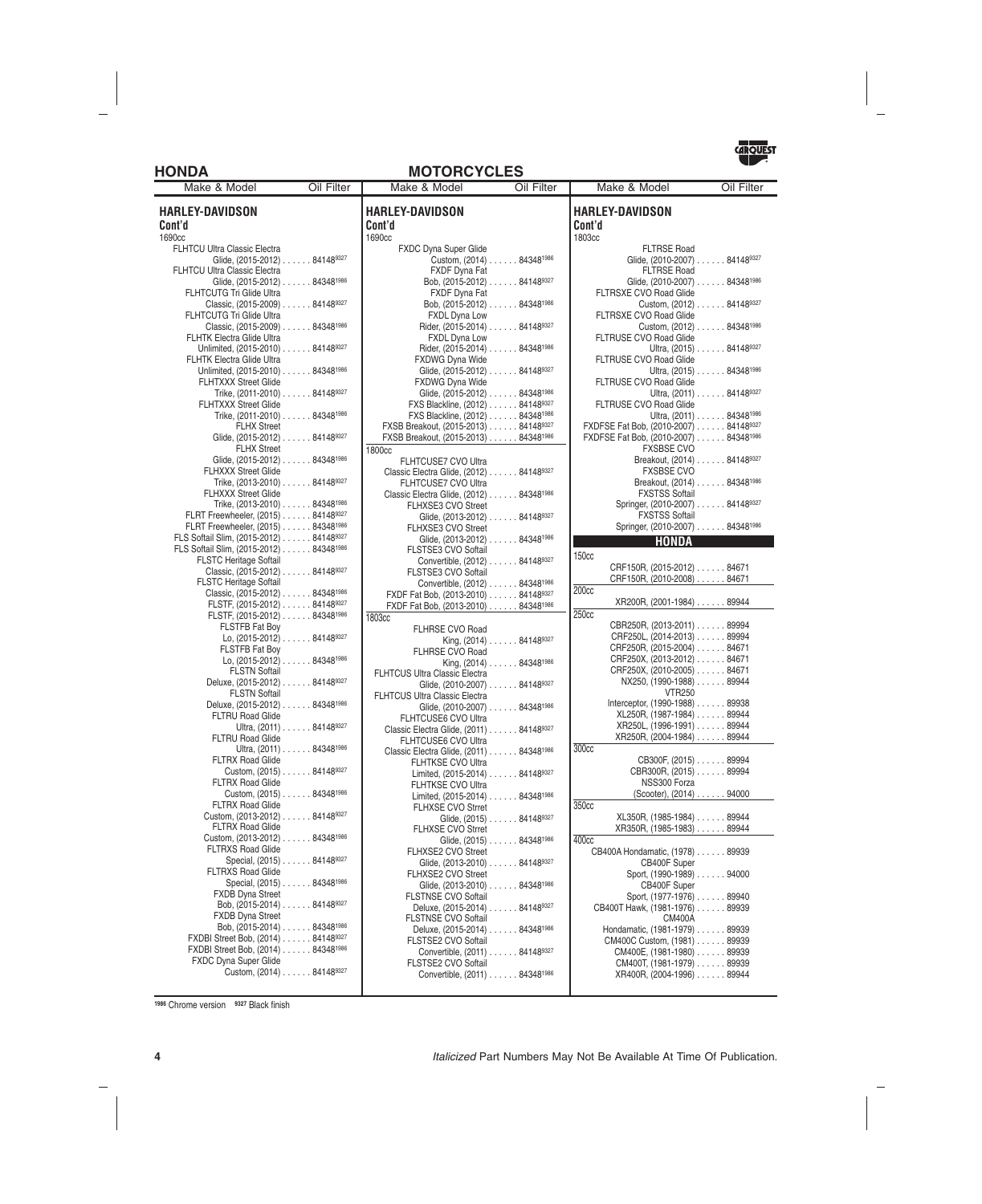### **HONDA MOTORCYCLES**



**HARLEY-DAVIDSON Cont'd** 1690cc FLHTCU Ultra Classic Electra Glide, (2015-2012) . . . . . . 841489327 FLHTCU Ultra Classic Electra Glide, (2015-2012) . . . . . . 84348<sup>1986</sup> FLHTCUTG Tri Glide Ultra Classic, (2015-2009) ...... 841489327 FLHTCUTG Tri Glide Ultra Classic, (2015-2009) ...... 843481986 FLHTK Electra Glide Ultra Unlimited, (2015-2010) . . . . . . 841489327 FLHTK Electra Glide Ultra Unlimited, (2015-2010) . . . . . . 84348<sup>1986</sup> FLHTXXX Street Glide Trike, (2011-2010) . . . . . . 841489327 FLHTXXX Street Glide Trike, (2011-2010) . . . . . . 84348<sup>1986</sup> FLHX Street Glide, (2015-2012) . . . . . . 841489327 FLHX Street Glide, (2015-2012) . . . . . . 84348<sup>1986</sup> FLHXXX Street Glide Trike, (2013-2010) ...... 841489327 FLHXXX Street Glide Trike, (2013-2010) ...... 843481986 FLRT Freewheeler, (2015) ...... 841489327 FLRT Freewheeler, (2015) ...... 84348<sup>1986</sup><br>S. Softail Slim (2015-2012) 841489327 FLS Softail Slim, (2015-2012) . . . . . . FLS Softail Slim, (2015-2012) ...... 843481986 FLSTC Heritage Softail Classic, (2015-2012) ...... 841489327 FLSTC Heritage Softail Classic, (2015-2012) ...... 843481986 FLSTF, (2015-2012) ...... 841489327 FLSTF, (2015-2012) ...... 843481986 FLSTFB Fat Boy Lo, (2015-2012) . . . . . . 841489327 FLSTFB Fat Boy Lo, (2015-2012) ...... 843481986 **FLSTN Softail** Deluxe, (2015-2012) . . . . . . 841489327 **FLSTN Softail** Deluxe, (2015-2012) . . . . . . 84348<sup>1986</sup> FLTRU Road Glide Ultra, (2011) . . . . . . 841489327 FLTRU Road Glide Ultra, (2011) . . . . . . 84348<sup>1986</sup> FLTRX Road Glide Custom, (2015) . . . . . . 841489327 FLTRX Road Glide Custom, (2015) ...... 843481986 FLTRX Road Glide Custom, (2013-2012) . . . . . . 841489327 FLTRX Road Glide Custom, (2013-2012) ...... 843481986 FLTRXS Road Glide Special, (2015) . . . . . . 841489327 FLTRXS Road Glide Special, (2015) . . . . . . 84348<sup>1986</sup> FXDB Dyna Street Bob, (2015-2014) ...... 841489327 FXDB Dyna Street Bob, (2015-2014) ...... 843481986 FXDBI Street Bob, (2014) ...... 841489327 FXDBI Street Bob, (2014) ...... 843481986 FXDC Dyna Super Glide Custom, (2014) . . . . . . 841489327 **HA** Con 169 180 1803 Make & Model **Oil Filter | Make & Model Oil Filter** 

| ARLEY-DAVIDSON<br>ont'd                                               |  |
|-----------------------------------------------------------------------|--|
| 90cc                                                                  |  |
| FXDC Dyna Super Glide<br>Custom, (2014) 843481986                     |  |
| <b>FXDF Dyna Fat</b><br>Bob, (2015-2012) 841489327                    |  |
| <b>FXDF Dyna Fat</b><br>Bob, (2015-2012) 84348 <sup>1986</sup>        |  |
| <b>FXDL Dyna Low</b><br>Rider, (2015-2014) 841489327                  |  |
| <b>FXDL Dyna Low</b><br>Rider, (2015-2014) 843481986                  |  |
| <b>FXDWG Dyna Wide</b><br>Glide, (2015-2012) 841489327                |  |
| <b>FXDWG Dyna Wide</b><br>Glide, (2015-2012) 843481986                |  |
| FXS Blackline, (2012) 841489327                                       |  |
|                                                                       |  |
| FXS Blackline, (2012) 843481986                                       |  |
| FXSB Breakout, (2015-2013) 841489327                                  |  |
| FXSB Breakout, (2015-2013) 843481986                                  |  |
| 00cc                                                                  |  |
| <b>FLHTCUSE7 CVO Ultra</b>                                            |  |
| Classic Electra Glide, (2012) 841489327                               |  |
| <b>FLHTCUSE7 CVO Ultra</b>                                            |  |
| Classic Electra Glide, (2012) 843481986<br><b>FLHXSE3 CVO Street</b>  |  |
| Glide, (2013-2012) 841489327<br>FLHXSE3 CVO Street                    |  |
| Glide, (2013-2012) 843481986<br>FLSTSE3 CVO Softail                   |  |
| Convertible, (2012) 841489327<br>FLSTSE3 CVO Softail                  |  |
| Convertible, (2012) 843481986                                         |  |
| FXDF Fat Bob, (2013-2010) 841489327                                   |  |
| FXDF Fat Bob, (2013-2010) 843481986                                   |  |
| 03сс                                                                  |  |
| FLHRSE CVO Road                                                       |  |
| King, (2014) 841489327                                                |  |
| FLHRSE CVO Road                                                       |  |
| King, (2014) 843481986                                                |  |
| FLHTCUS Ultra Classic Electra<br>Glide, (2010-2007) 841489327         |  |
| FLHTCUS Ultra Classic Electra<br>Glide, (2010-2007) 843481986         |  |
| <b>FLHTCUSE6 CVO Ultra</b><br>Classic Electra Glide, (2011) 841489327 |  |
| FLHTCUSE6 CVO Ultra<br>Classic Electra Glide, (2011) 843481986        |  |
| <b>FLHTKSE CVO Ultra</b><br>Limited, (2015-2014) 841489327            |  |
| FLHTKSE CVO Ultra<br>Limited, (2015-2014) 843481986                   |  |
| <b>FLHXSE CVO Strret</b><br>Glide, (2015) 841489327                   |  |
| <b>FLHXSE CVO Strret</b><br>Glide, (2015) 843481986                   |  |
| <b>FLHXSE2 CVO Street</b><br>Glide, (2013-2010) 841489327             |  |
| <b>FLHXSE2 CVO Street</b><br>Glide, (2013-2010) 843481986             |  |
| <b>FLSTNSE CVO Softail</b><br>Deluxe, (2015-2014) 841489327           |  |
| <b>FLSTNSE CVO Softail</b><br>Deluxe, (2015-2014) 843481986           |  |
| FLSTSE2 CVO Softail<br>Convertible, (2011) 841489327                  |  |
| <b>FLSTSE2 CVO Softail</b><br>Convertible, (2011) 843481986           |  |
|                                                                       |  |

| Make & Model                                             | Oil Filter |
|----------------------------------------------------------|------------|
| <b>HARLEY-DAVIDSON</b><br>Cont'd                         |            |
| 1803cc                                                   |            |
| <b>FLTRSE Road</b>                                       |            |
| Glide, (2010-2007) 841489327                             |            |
| <b>FLTRSE Road</b>                                       |            |
| Glide, (2010-2007) 843481986                             |            |
| <b>FLTRSXE CVO Road Glide</b>                            |            |
| Custom, (2012) 841489327                                 |            |
| <b>FLTRSXE CVO Road Glide</b>                            |            |
| Custom, (2012) 84348 <sup>1986</sup>                     |            |
| <b>FLTRUSE CVO Road Glide</b>                            |            |
| Ultra, (2015) 841489327                                  |            |
| <b>FLTRUSE CVO Road Glide</b>                            |            |
| Ultra, (2015) 843481986                                  |            |
| FLTRUSE CVO Road Glide                                   |            |
| Ultra, (2011) 841489327                                  |            |
| FLTRUSE CVO Road Glide                                   |            |
| Ultra, (2011) 843481986                                  |            |
| FXDFSE Fat Bob, (2010-2007) 841489327                    |            |
| FXDFSE Fat Bob, (2010-2007) 843481986                    |            |
| <b>FXSBSE CVO</b>                                        |            |
| Breakout, (2014) 841489327                               |            |
| <b>FXSBSE CVO</b>                                        |            |
| Breakout, (2014) 843481986                               |            |
| <b>FXSTSS Softail</b>                                    |            |
| Springer, (2010-2007) 841489327                          |            |
| <b>FXSTSS Softail</b>                                    |            |
| Springer, (2010-2007) 843481986                          |            |
| HONDA                                                    |            |
| 150 <sub>cc</sub>                                        |            |
|                                                          |            |
| CRF150R, (2015-2012) 84671<br>CRF150R, (2010-2008) 84671 |            |
| 200cc                                                    |            |
|                                                          |            |
| XR200R, (2001-1984) 89944                                |            |
| 250cc                                                    |            |
| CBR250R, (2013-2011) 89994                               |            |
| CRF250L, (2014-2013) 89994                               |            |
| CRF250R, (2015-2004) 84671                               |            |
| CRF250X, (2013-2012) 84671                               |            |
| CRF250X, (2010-2005) 84671                               |            |
| NX250, (1990-1988) 89944                                 |            |
| <b>VTR250</b>                                            |            |
| Interceptor, (1990-1988) 89938                           |            |
| XL250R, (1987-1984) 89944                                |            |
| XR250L, (1996-1991) 89944                                |            |
| XR250R, (2004-1984) 89944                                |            |
| 300cc                                                    |            |
| CB300F, (2015) 89994                                     |            |
| CBR300R, (2015) 89994                                    |            |
| NSS300 Forza                                             |            |
| (Scooter), (2014) 94000                                  |            |
| 350cc                                                    |            |
| XL350R, (1985-1984) 89944                                |            |
| XR350R, (1985-1983) 89944                                |            |
| 400cc                                                    |            |
| CB400A Hondamatic, (1978) 89939                          |            |
| CB400F Super                                             |            |
| Sport, (1990-1989) 94000                                 |            |
| CB400F Super                                             |            |
| Sport, (1977-1976) 89940                                 |            |
| CB400T Hawk, (1981-1976) 89939                           |            |
| <b>CM400A</b>                                            |            |
| Hondamatic, (1981-1979) 89939                            |            |
| CM400C Custom, (1981) 89939                              |            |
| CM400E, (1981-1980) 89939                                |            |
| CM400T, (1981-1979) 89939                                |            |
| XR400R, (2004-1996) 89944                                |            |
|                                                          |            |

**<sup>1986</sup>** Chrome version **<sup>9327</sup>** Black finish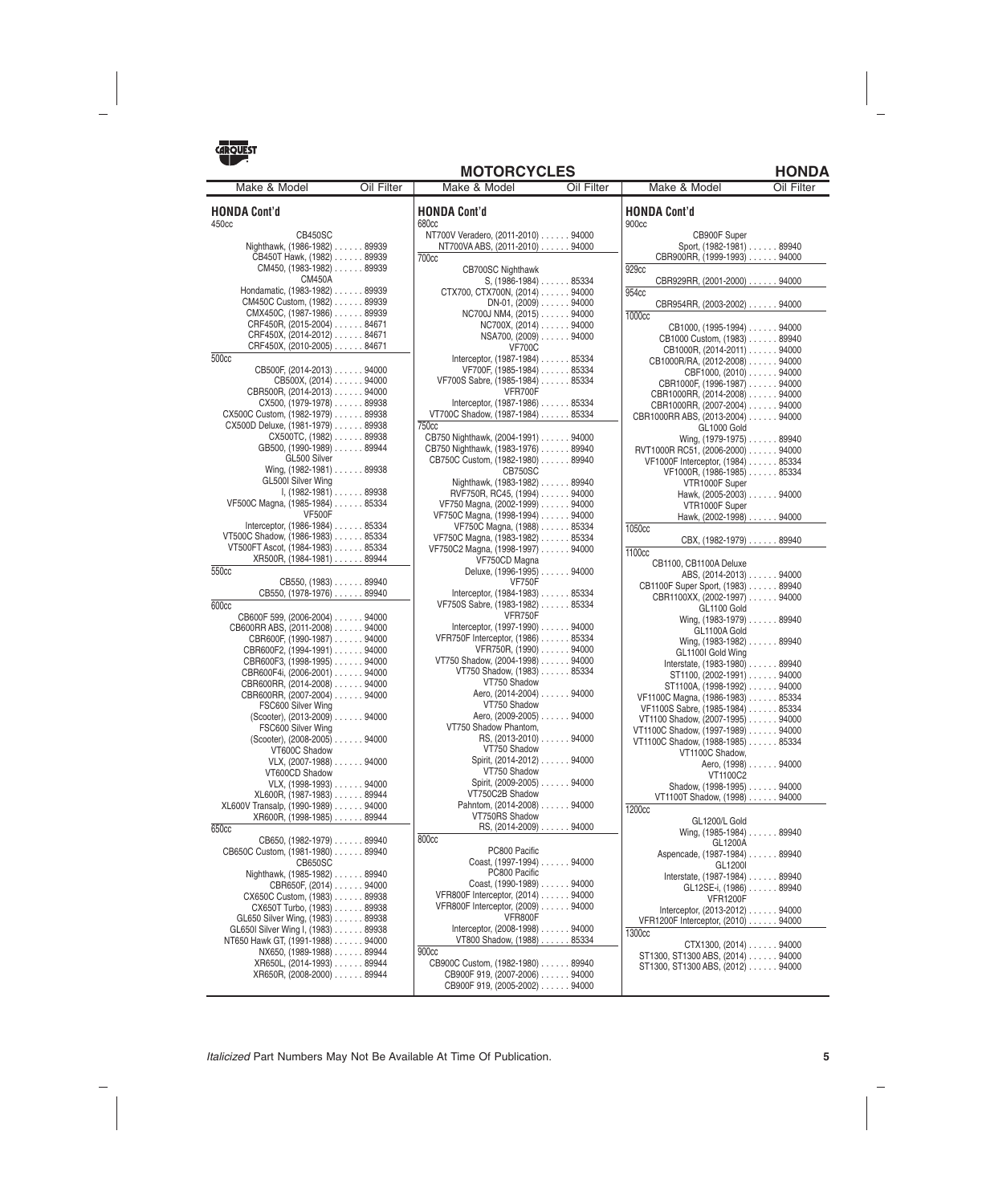

|  |  |  |  | <b>MOTORCYCLES</b> |
|--|--|--|--|--------------------|
|--|--|--|--|--------------------|

| Make & Model                                               | Oil Filter | Make & Model                                                          | Oil Filter | Make & Model                             | Oil Filter |
|------------------------------------------------------------|------------|-----------------------------------------------------------------------|------------|------------------------------------------|------------|
| <b>HONDA Cont'd</b><br>450cc                               |            | <b>HONDA Cont'd</b><br>680 <sub>cc</sub>                              |            | <b>HONDA Cont'd</b><br>900cc             |            |
| <b>CB450SC</b>                                             |            | NT700V Veradero, (2011-2010) 94000                                    |            | CB900F Super                             |            |
| Nighthawk, (1986-1982) 89939                               |            | NT700VA ABS, (2011-2010) 94000                                        |            | Sport, (1982-1981) 89940                 |            |
| CB450T Hawk, (1982) 89939                                  |            | <b>700cc</b>                                                          |            | CBR900RR, (1999-1993) 94000              |            |
| $CM450, (1983-1982) \ldots$ 89939                          |            | <b>CB700SC Nighthawk</b>                                              |            | 929 <sub>cc</sub>                        |            |
| <b>CM450A</b>                                              |            | $S, (1986-1984) \ldots$ 85334                                         |            | CBR929RR, (2001-2000) 94000              |            |
| Hondamatic, (1983-1982) 89939                              |            | CTX700, CTX700N, (2014) 94000                                         |            | 954cc                                    |            |
| CM450C Custom, (1982) 89939                                |            | $DN-01$ , $(2009)$ 94000                                              |            | CBR954RR, (2003-2002) 94000              |            |
| CMX450C, (1987-1986) 89939                                 |            | NC700J NM4, (2015) 94000                                              |            | 1000cc                                   |            |
| CRF450R, (2015-2004) 84671                                 |            | $NC700X$ , $(2014)$ 94000                                             |            | CB1000, (1995-1994) 94000                |            |
| CRF450X, (2014-2012) 84671                                 |            | $NSA700, (2009) \ldots$ 94000                                         |            | CB1000 Custom, (1983) 89940              |            |
| CRF450X, (2010-2005) 84671                                 |            | <b>VF700C</b>                                                         |            | CB1000R, (2014-2011) 94000               |            |
| 500cc                                                      |            | Interceptor, (1987-1984) 85334                                        |            | CB1000R/RA, (2012-2008) 94000            |            |
| CB500F, (2014-2013) 94000                                  |            | VF700F, (1985-1984) 85334                                             |            | CBF1000, (2010) 94000                    |            |
| CB500X, (2014) 94000                                       |            | VF700S Sabre, (1985-1984) 85334                                       |            | CBR1000F, (1996-1987) 94000              |            |
| CBR500R, (2014-2013) 94000                                 |            | VFR700F                                                               |            | CBR1000RR, (2014-2008) 94000             |            |
| CX500, (1979-1978) 89938                                   |            | Interceptor, (1987-1986) 85334                                        |            | CBR1000RR, (2007-2004) 94000             |            |
| CX500C Custom, (1982-1979) 89938                           |            | VT700C Shadow, (1987-1984) 85334                                      |            | CBR1000RR ABS, (2013-2004) 94000         |            |
| CX500D Deluxe, (1981-1979) 89938                           |            | 750 <sub>cc</sub>                                                     |            | GL1000 Gold                              |            |
| $CX500TC, (1982) \ldots$ 89938                             |            | CB750 Nighthawk, (2004-1991) 94000                                    |            | Wing, (1979-1975) 89940                  |            |
| GB500, (1990-1989) 89944                                   |            | CB750 Nighthawk, (1983-1976) 89940                                    |            | RVT1000R RC51, (2006-2000) 94000         |            |
| GL500 Silver                                               |            | CB750C Custom, (1982-1980) 89940                                      |            | VF1000F Interceptor, (1984) 85334        |            |
| Wing, $(1982 - 1981)$ 89938                                |            | CB750SC                                                               |            | VF1000R, (1986-1985) 85334               |            |
| GL500I Silver Wing                                         |            | Nighthawk, (1983-1982) 89940                                          |            | VTR1000F Super                           |            |
| $I, (1982-1981) \ldots$ 89938                              |            | RVF750R, RC45, (1994) 94000                                           |            | Hawk, (2005-2003) 94000                  |            |
| VF500C Magna, (1985-1984) 85334                            |            | VF750 Magna, (2002-1999) 94000                                        |            | VTR1000F Super                           |            |
| <b>VF500F</b>                                              |            | VF750C Magna, (1998-1994) 94000                                       |            | Hawk, (2002-1998) 94000                  |            |
| Interceptor, (1986-1984) 85334                             |            | VF750C Magna, (1988) 85334                                            |            | 1050cc                                   |            |
| VT500C Shadow, (1986-1983) 85334                           |            | VF750C Magna, (1983-1982) 85334                                       |            | $CBX, (1982-1979) \ldots$ 89940          |            |
| VT500FT Ascot, (1984-1983) 85334                           |            | VF750C2 Magna, (1998-1997) 94000                                      |            | 1100 <sub>cc</sub>                       |            |
| XR500R, (1984-1981) 89944                                  |            | VF750CD Magna                                                         |            | CB1100, CB1100A Deluxe                   |            |
| 550cc                                                      |            | Deluxe, (1996-1995) 94000                                             |            | ABS, (2014-2013) 94000                   |            |
| CB550, (1983) 89940                                        |            | <b>VF750F</b>                                                         |            | CB1100F Super Sport, (1983) 89940        |            |
| CB550, (1978-1976) 89940                                   |            | Interceptor, (1984-1983) 85334                                        |            | CBR1100XX, (2002-1997) 94000             |            |
| 600cc                                                      |            | VF750S Sabre, (1983-1982) 85334                                       |            | GL1100 Gold                              |            |
| CB600F 599, (2006-2004) 94000                              |            | VFR750F                                                               |            | Wing, (1983-1979) 89940                  |            |
| CB600RR ABS, (2011-2008) 94000                             |            | Interceptor, $(1997-1990)$ 94000<br>VFR750F Interceptor, (1986) 85334 |            | GL1100A Gold                             |            |
| CBR600F, (1990-1987) 94000                                 |            |                                                                       |            | Wing, (1983-1982) 89940                  |            |
| CBR600F2, (1994-1991) 94000                                |            | VFR750R, (1990) 94000<br>VT750 Shadow, (2004-1998) 94000              |            | GL1100I Gold Wing                        |            |
| CBR600F3, (1998-1995) 94000                                |            | VT750 Shadow, (1983) 85334                                            |            | Interstate, (1983-1980) 89940            |            |
| CBR600F4i, (2006-2001) 94000                               |            | VT750 Shadow                                                          |            | ST1100, (2002-1991) 94000                |            |
| CBR600RR, (2014-2008) 94000<br>CBR600RR, (2007-2004) 94000 |            | Aero, (2014-2004) 94000                                               |            | ST1100A, (1998-1992) 94000               |            |
| FSC600 Silver Wing                                         |            | VT750 Shadow                                                          |            | VF1100C Magna, (1986-1983) 85334         |            |
| (Scooter), (2013-2009) 94000                               |            | Aero, (2009-2005) 94000                                               |            | VF1100S Sabre, (1985-1984) 85334         |            |
| FSC600 Silver Wing                                         |            | VT750 Shadow Phantom,                                                 |            | VT1100 Shadow, (2007-1995) 94000         |            |
| (Scooter), (2008-2005) 94000                               |            |                                                                       |            | VT1100C Shadow, (1997-1989) 94000        |            |
| VT600C Shadow                                              |            | VT750 Shadow                                                          |            | VT1100C Shadow, (1988-1985) 85334        |            |
| $V L X, (2007-1988) \ldots$ 94000                          |            | Spirit, (2014-2012) 94000                                             |            | VT1100C Shadow,                          |            |
| VT600CD Shadow                                             |            | VT750 Shadow                                                          |            | Aero, (1998) 94000                       |            |
| $VLX, (1998-1993) \ldots$ 94000                            |            | Spirit, (2009-2005) 94000                                             |            | VT1100C2<br>Shadow, (1998-1995) 94000    |            |
| XL600R, (1987-1983) 89944                                  |            | VT750C2B Shadow                                                       |            | VT1100T Shadow, (1998) 94000             |            |
| XL600V Transalp, (1990-1989) 94000                         |            | Pahntom, (2014-2008) 94000                                            |            | 1200cc                                   |            |
| XR600R, (1998-1985) 89944                                  |            | VT750RS Shadow                                                        |            |                                          |            |
| 650cc                                                      |            | $RS, (2014-2009) \ldots$ 94000                                        |            | GL1200/L Gold<br>Wing, (1985-1984) 89940 |            |
| CB650, (1982-1979) 89940                                   |            | 800cc                                                                 |            | GL1200A                                  |            |
| CB650C Custom, (1981-1980) 89940                           |            | PC800 Pacific                                                         |            | Aspencade, (1987-1984) 89940             |            |
| CB650SC                                                    |            | Coast, (1997-1994) 94000                                              |            | GL1200I                                  |            |
| Nighthawk, (1985-1982) 89940                               |            | PC800 Pacific                                                         |            | Interstate, $(1987-1984)$ 89940          |            |
| CBR650F, (2014) 94000                                      |            | Coast, (1990-1989) 94000                                              |            | GL12SE-i, (1986) 89940                   |            |
| CX650C Custom, (1983) 89938                                |            | VFR800F Interceptor, (2014) 94000                                     |            | <b>VFR1200F</b>                          |            |
| CX650T Turbo, (1983) 89938                                 |            | VFR800F Interceptor, (2009) 94000                                     |            | Interceptor, $(2013-2012)$ 94000         |            |
| GL650 Silver Wing, (1983) 89938                            |            | VFR800F                                                               |            | VFR1200F Interceptor, (2010) 94000       |            |
| GL650I Silver Wing I, (1983) 89938                         |            | Interceptor, $(2008-1998)$ 94000                                      |            | 1300cc                                   |            |
| NT650 Hawk GT, (1991-1988) 94000                           |            | VT800 Shadow, (1988) 85334                                            |            | $CTX1300, (2014) \ldots$ 94000           |            |
| NX650, (1989-1988) 89944                                   |            | 900cc                                                                 |            | ST1300, ST1300 ABS, (2014) 94000         |            |
| XR650L, (2014-1993) 89944                                  |            | CB900C Custom, (1982-1980) 89940                                      |            | ST1300, ST1300 ABS, (2012) 94000         |            |
| XR650R, (2008-2000) 89944                                  |            | CB900F 919, (2007-2006) 94000                                         |            |                                          |            |

CB900F 919, (2005-2002) ...... 94000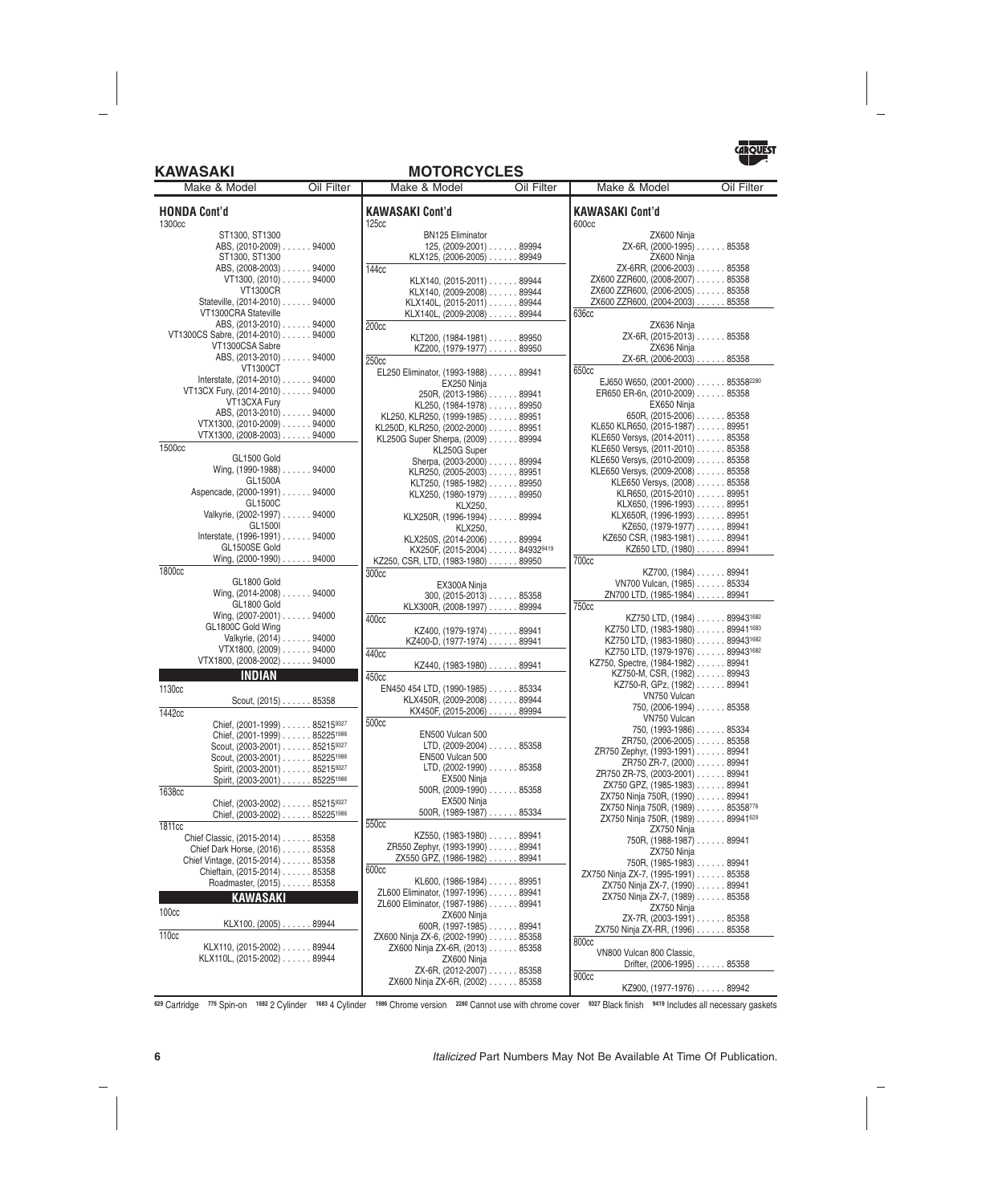### **KAWASAKI MOTORCYCLES**



| Make & Model                                                               | Oil Filter | Make & Model                                                           | Oil Filter | Make & Model                                                       | Oil Filter          |
|----------------------------------------------------------------------------|------------|------------------------------------------------------------------------|------------|--------------------------------------------------------------------|---------------------|
| <b>HONDA Cont'd</b><br>1300cc                                              |            | <b>KAWASAKI Cont'd</b><br><b>125cc</b>                                 |            | <b>KAWASAKI Cont'd</b><br>600cc                                    |                     |
| ST1300, ST1300                                                             |            | <b>BN125 Eliminator</b>                                                |            | ZX600 Ninja                                                        |                     |
| ABS, (2010-2009) 94000                                                     |            | 125, $(2009-2001)$ 89994                                               |            | ZX-6R, (2000-1995) 85358                                           |                     |
| ST1300, ST1300                                                             |            | KLX125, (2006-2005) 89949                                              |            | ZX600 Ninja                                                        |                     |
| ABS, (2008-2003) 94000                                                     |            | 144cc                                                                  |            | ZX-6RR, (2006-2003) 85358                                          |                     |
| $VT1300, (2010) \ldots$ 94000<br><b>VT1300CR</b>                           |            | KLX140, (2015-2011) 89944                                              |            | ZX600 ZZR600, (2008-2007) 85358<br>ZX600 ZZR600, (2006-2005) 85358 |                     |
| Stateville, (2014-2010) 94000                                              |            | KLX140, (2009-2008) 89944<br>KLX140L, (2015-2011) 89944                |            | ZX600 ZZR600, (2004-2003) 85358                                    |                     |
| VT1300CRA Stateville                                                       |            | KLX140L, (2009-2008) 89944                                             |            | 636cc                                                              |                     |
| ABS, (2013-2010) 94000                                                     |            | 200 <sub>cc</sub>                                                      |            | ZX636 Ninja                                                        |                     |
| VT1300CS Sabre, (2014-2010) 94000                                          |            | KLT200, (1984-1981) 89950                                              |            | ZX-6R, (2015-2013) 85358                                           |                     |
| VT1300CSA Sabre                                                            |            | KZ200, (1979-1977) 89950                                               |            | ZX636 Ninja                                                        |                     |
| ABS, (2013-2010) 94000                                                     |            | 250 <sub>cc</sub>                                                      |            | ZX-6R, (2006-2003) 85358                                           |                     |
| <b>VT1300CT</b>                                                            |            | EL250 Eliminator, (1993-1988) 89941                                    |            | 650 <sub>cc</sub>                                                  |                     |
| Interstate, (2014-2010) 94000                                              |            | EX250 Ninja                                                            |            | EJ650 W650, (2001-2000) 853582280                                  |                     |
| VT13CX Fury, (2014-2010) 94000                                             |            | 250R, (2013-1986) 89941                                                |            | ER650 ER-6n, (2010-2009) 85358                                     |                     |
| VT13CXA Fury<br>ABS, (2013-2010) 94000                                     |            | KL250, (1984-1978) 89950                                               |            | EX650 Ninja                                                        |                     |
| VTX1300, (2010-2009) 94000                                                 |            | KL250, KLR250, (1999-1985) 89951                                       |            | 650R, $(2015-2006)$ 85358<br>KL650 KLR650, (2015-1987) 89951       |                     |
| VTX1300, (2008-2003) 94000                                                 |            | KL250D, KLR250, (2002-2000) 89951<br>KL250G Super Sherpa, (2009) 89994 |            | KLE650 Versys, (2014-2011) 85358                                   |                     |
| 1500cc                                                                     |            | KL250G Super                                                           |            | KLE650 Versys, (2011-2010) 85358                                   |                     |
| GL1500 Gold                                                                |            | Sherpa, (2003-2000) 89994                                              |            | KLE650 Versys, (2010-2009) 85358                                   |                     |
| Wing, (1990-1988) 94000                                                    |            | KLR250, (2005-2003) 89951                                              |            | KLE650 Versys, (2009-2008) 85358                                   |                     |
| GL1500A                                                                    |            | KLT250, (1985-1982) 89950                                              |            | KLE650 Versys, (2008) 85358                                        |                     |
| Aspencade, (2000-1991) 94000                                               |            | KLX250, (1980-1979) 89950                                              |            | KLR650, (2015-2010) 89951                                          |                     |
| GL1500C                                                                    |            | KLX250.                                                                |            | KLX650, (1996-1993) 89951                                          |                     |
| Valkyrie, (2002-1997) 94000                                                |            | KLX250R, (1996-1994) 89994                                             |            | KLX650R, (1996-1993) 89951                                         |                     |
| GL1500I                                                                    |            | KLX250,                                                                |            | KZ650, (1979-1977) 89941                                           |                     |
| Interstate, (1996-1991) 94000<br>GL1500SE Gold                             |            | KLX250S, (2014-2006) 89994                                             |            | KZ650 CSR, (1983-1981) 89941                                       |                     |
| Wing, (2000-1990) 94000                                                    |            | KX250F, (2015-2004) 849329419                                          |            | KZ650 LTD, (1980) 89941<br><b>700cc</b>                            |                     |
| 1800cc                                                                     |            | KZ250, CSR, LTD, (1983-1980) 89950<br>300cc                            |            |                                                                    | KZ700, (1984) 89941 |
| GL1800 Gold                                                                |            | EX300A Ninja                                                           |            | VN700 Vulcan, (1985) 85334                                         |                     |
| Wing, (2014-2008) 94000                                                    |            | $300, (2015-2013) \ldots$ . 85358                                      |            | ZN700 LTD, (1985-1984) 89941                                       |                     |
| GL1800 Gold                                                                |            | KLX300R, (2008-1997) 89994                                             |            | 750cc                                                              |                     |
| Wing, (2007-2001) 94000                                                    |            | 400cc                                                                  |            | KZ750 LTD, (1984) 899431682                                        |                     |
| GL1800C Gold Wing                                                          |            | KZ400, (1979-1974) 89941                                               |            | KZ750 LTD, (1983-1980) 899411683                                   |                     |
| Valkyrie, (2014) 94000                                                     |            | KZ400-D, (1977-1974) 89941                                             |            | KZ750 LTD, (1983-1980) 899431682                                   |                     |
| $VTX1800, (2009) \ldots$ 94000<br>VTX1800, (2008-2002) 94000               |            | 440 <sub>cc</sub>                                                      |            | KZ750 LTD, (1979-1976) 899431682                                   |                     |
|                                                                            |            | KZ440, (1983-1980) 89941                                               |            | KZ750, Spectre, (1984-1982) 89941                                  |                     |
| <b>INDIAN</b>                                                              |            | 450cc                                                                  |            | KZ750-M, CSR, (1982) 89943<br>KZ750-R, GPz, (1982) 89941           |                     |
| 1130cc                                                                     |            | EN450 454 LTD, (1990-1985) 85334                                       |            | VN750 Vulcan                                                       |                     |
| Scout, $(2015)$ 85358                                                      |            | KLX450R, (2009-2008) 89944                                             |            | 750, (2006-1994) 85358                                             |                     |
| 1442cc                                                                     |            | KX450F, (2015-2006) 89994<br>500cc                                     |            | VN750 Vulcan                                                       |                     |
| Chief, (2001-1999) 852159327                                               |            | <b>EN500 Vulcan 500</b>                                                |            | 750, (1993-1986) 85334                                             |                     |
| Chief, $(2001-1999)$ 85225 <sup>1986</sup><br>Scout, (2003-2001) 852159327 |            | LTD, $(2009-2004)$ 85358                                               |            | ZR750, (2006-2005) 85358                                           |                     |
| Scout, (2003-2001) 85225 <sup>1986</sup>                                   |            | EN500 Vulcan 500                                                       |            | ZR750 Zephyr, (1993-1991) 89941                                    |                     |
| Spirit, (2003-2001) 852159327                                              |            | $LTD$ , (2002-1990) $\ldots \ldots 85358$                              |            | ZR750 ZR-7, (2000) 89941                                           |                     |
| Spirit, (2003-2001) 85225 <sup>1986</sup>                                  |            | EX500 Ninja                                                            |            | ZR750 ZR-7S, (2003-2001) 89941<br>ZX750 GPZ, (1985-1983) 89941     |                     |
| 1638cc                                                                     |            | 500R, (2009-1990) 85358                                                |            | ZX750 Ninja 750R, (1990) 89941                                     |                     |
| Chief, (2003-2002) 852159327                                               |            | EX500 Ninja                                                            |            | ZX750 Ninja 750R, (1989) 85358776                                  |                     |
| Chief, (2003-2002) 85225 <sup>1986</sup>                                   |            | $500R$ , $(1989-1987)$ 85334                                           |            | ZX750 Ninja 750R, (1989) 89941629                                  |                     |
| 1811cc                                                                     |            | 550cc                                                                  |            | ZX750 Ninja                                                        |                     |
| Chief Classic, (2015-2014) 85358                                           |            | KZ550. (1983-1980) 89941                                               |            | 750R, (1988-1987) 89941                                            |                     |
| Chief Dark Horse, (2016) 85358                                             |            | ZR550 Zephyr, (1993-1990) 89941<br>ZX550 GPZ, (1986-1982) 89941        |            | ZX750 Ninja                                                        |                     |
| Chief Vintage, (2015-2014) 85358                                           |            | 600cc                                                                  |            | 750R, (1985-1983) 89941                                            |                     |
| Chieftain, (2015-2014) 85358<br>Roadmaster, (2015) 85358                   |            | KL600, (1986-1984) 89951                                               |            | ZX750 Ninja ZX-7, (1995-1991) 85358                                |                     |
|                                                                            |            | ZL600 Eliminator, (1997-1996) 89941                                    |            | ZX750 Ninja ZX-7, (1990) 89941<br>ZX750 Ninja ZX-7, (1989) 85358   |                     |
| <b>KAWASAKI</b>                                                            |            | ZL600 Eliminator, (1987-1986) 89941                                    |            | ZX750 Ninja                                                        |                     |
| 100 <sub>cc</sub>                                                          |            | ZX600 Ninja                                                            |            | ZX-7R, (2003-1991) 85358                                           |                     |
| KLX100, (2005) 89944                                                       |            | 600R, $(1997-1985)$ 89941                                              |            | ZX750 Ninja ZX-RR, (1996) 85358                                    |                     |
| <b>110cc</b>                                                               |            | ZX600 Ninja ZX-6, (2002-1990) 85358                                    |            | 800cc                                                              |                     |
| KLX110, (2015-2002) 89944<br>KLX110L, (2015-2002) 89944                    |            | ZX600 Ninja ZX-6R, (2013) 85358                                        |            | VN800 Vulcan 800 Classic,                                          |                     |
|                                                                            |            | ZX600 Ninja<br>ZX-6R, (2012-2007) 85358                                |            | Drifter, (2006-1995) 85358                                         |                     |
|                                                                            |            | ZX600 Ninja ZX-6R, (2002) 85358                                        |            | 900cc                                                              |                     |
|                                                                            |            |                                                                        |            | KZ900, (1977-1976) 89942                                           |                     |

**<sup>629</sup>** Cartridge **<sup>776</sup>** Spin-on **<sup>1682</sup>** 2 Cylinder **<sup>1683</sup>** 4 Cylinder **<sup>1986</sup>** Chrome version **<sup>2280</sup>** Cannot use with chrome cover **<sup>9327</sup>** Black finish **<sup>9419</sup>** Includes all necessary gaskets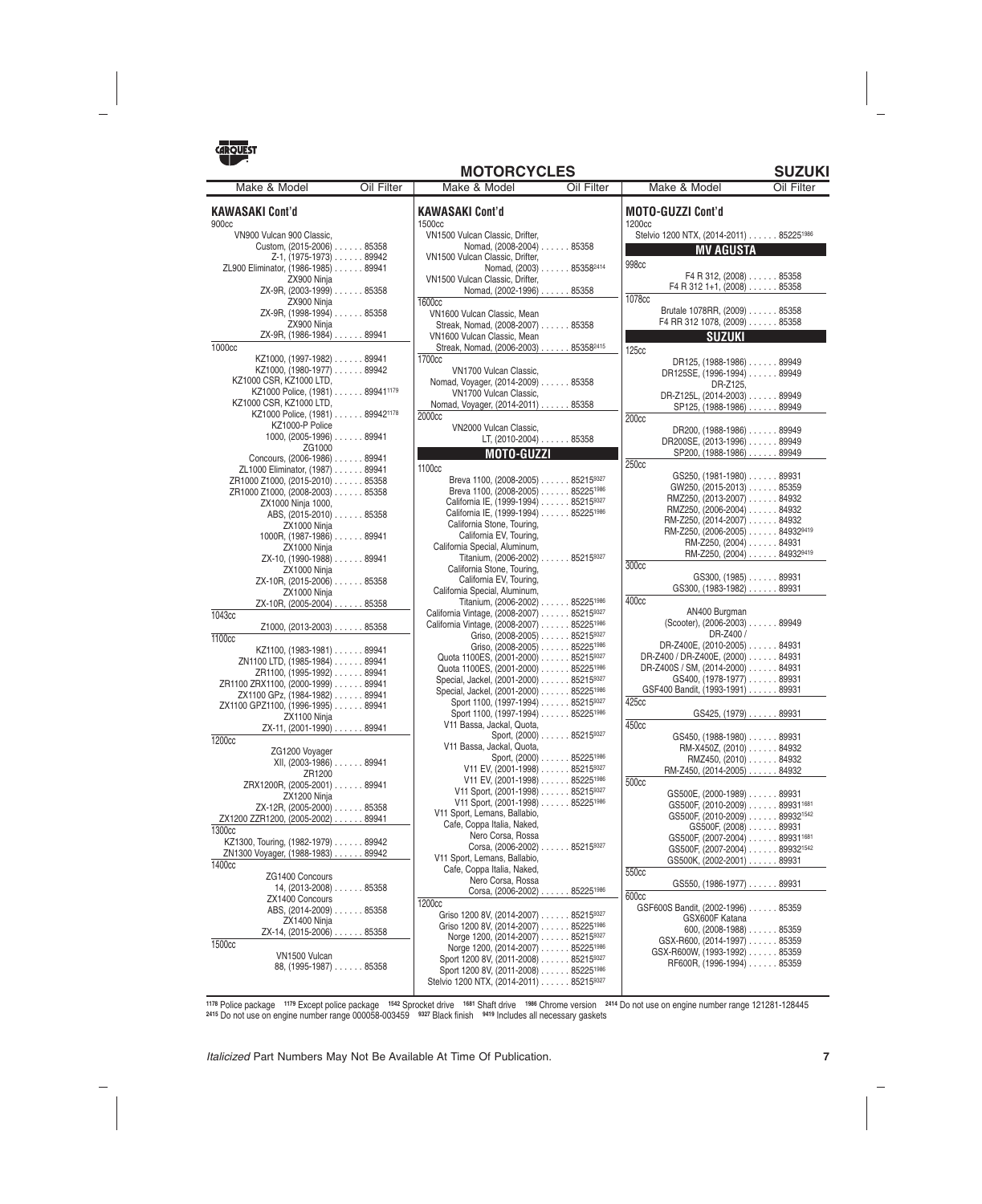

| <b>SUZUKI</b><br><b>MOTORCYCLES</b>                                |            |                                                                     |                                     |                                                     |            |
|--------------------------------------------------------------------|------------|---------------------------------------------------------------------|-------------------------------------|-----------------------------------------------------|------------|
| Make & Model                                                       | Oil Filter | Make & Model                                                        | Oil Filter                          | Make & Model                                        | Oil Filter |
| <b>KAWASAKI Cont'd</b>                                             |            | <b>KAWASAKI Cont'd</b>                                              |                                     | <b>MOTO-GUZZI Cont'd</b>                            |            |
| 900 <sub>cc</sub>                                                  |            | 1500cc                                                              |                                     | 1200 <sub>cc</sub>                                  |            |
| VN900 Vulcan 900 Classic,                                          |            | VN1500 Vulcan Classic. Drifter.                                     |                                     | Stelvio 1200 NTX, (2014-2011) 85225 <sup>1986</sup> |            |
| Custom, (2015-2006) 85358                                          |            | Nomad, (2008-2004) 85358                                            |                                     | <b>MV AGUSTA</b>                                    |            |
| $Z-1$ , (1975-1973) $\ldots$ 89942                                 |            | VN1500 Vulcan Classic, Drifter,                                     |                                     | 998cc                                               |            |
| ZL900 Eliminator, (1986-1985) 89941                                |            |                                                                     | Nomad, (2003) 85358 <sup>2414</sup> | F4 R 312, $(2008)$ 85358                            |            |
| ZX900 Ninja                                                        |            | VN1500 Vulcan Classic, Drifter,                                     |                                     | $F4 R 312 1+1, (2008) \ldots$ 85358                 |            |
| ZX-9R, (2003-1999) 85358                                           |            | Nomad, (2002-1996) 85358                                            |                                     | 1078cc                                              |            |
| ZX900 Ninja<br>ZX-9R, (1998-1994) 85358                            |            | 1600cc                                                              |                                     | Brutale 1078RR, (2009) 85358                        |            |
|                                                                    |            | VN1600 Vulcan Classic, Mean                                         |                                     | F4 RR 312 1078, (2009) 85358                        |            |
| ZX900 Ninja<br>ZX-9R, (1986-1984) 89941                            |            | Streak, Nomad, (2008-2007) 85358                                    |                                     | <b>SUZUKI</b>                                       |            |
| 1000cc                                                             |            | VN1600 Vulcan Classic, Mean<br>Streak, Nomad, (2006-2003) 853582415 |                                     |                                                     |            |
| KZ1000, (1997-1982) 89941                                          |            | 1700 <sub>cc</sub>                                                  |                                     | 125cc                                               |            |
| KZ1000, (1980-1977) 89942                                          |            | VN1700 Vulcan Classic.                                              |                                     | DR125, (1988-1986) 89949                            |            |
| KZ1000 CSR, KZ1000 LTD,                                            |            | Nomad, Voyager, (2014-2009) 85358                                   |                                     | DR125SE, (1996-1994) 89949                          |            |
| KZ1000 Police, (1981) 899411179                                    |            | VN1700 Vulcan Classic,                                              |                                     | DR-Z125,<br>DR-Z125L, (2014-2003) 89949             |            |
| KZ1000 CSR, KZ1000 LTD,                                            |            | Nomad, Voyager, (2014-2011) 85358                                   |                                     | SP125, (1988-1986) 89949                            |            |
| KZ1000 Police, (1981) 899421178                                    |            | 2000cc                                                              |                                     | 200 <sub>cc</sub>                                   |            |
| KZ1000-P Police                                                    |            | VN2000 Vulcan Classic.                                              |                                     | DR200, (1988-1986) 89949                            |            |
| 1000, $(2005-1996)$ 89941                                          |            | LT, (2010-2004) 85358                                               |                                     | DR200SE. (2013-1996) 89949                          |            |
| ZG1000                                                             |            | MOTO-GUZZI                                                          |                                     | SP200, (1988-1986) 89949                            |            |
| Concours, (2006-1986) 89941                                        |            | 1100 <sub>cc</sub>                                                  |                                     | 250 <sub>cc</sub>                                   |            |
| ZL1000 Eliminator, (1987) 89941<br>ZR1000 Z1000, (2015-2010) 85358 |            | Breva 1100, (2008-2005) 852159327                                   |                                     | GS250, (1981-1980) 89931                            |            |
| ZR1000 Z1000, (2008-2003) 85358                                    |            | Breva 1100, (2008-2005) 852251986                                   |                                     | GW250, (2015-2013) 85359                            |            |
| ZX1000 Ninja 1000,                                                 |            | California IE, (1999-1994) 852159327                                |                                     | RMZ250, (2013-2007) 84932                           |            |
| ABS, (2015-2010) 85358                                             |            | California IE, (1999-1994) 852251986                                |                                     | RMZ250, (2006-2004) 84932                           |            |
| ZX1000 Ninja                                                       |            | California Stone, Touring,                                          |                                     | RM-Z250, (2014-2007) 84932                          |            |
| 1000R, (1987-1986) 89941                                           |            | California EV, Touring,                                             |                                     | RM-Z250, (2006-2005) 849329419                      |            |
| ZX1000 Ninja                                                       |            | California Special, Aluminum,                                       |                                     | RM-Z250, (2004) 84931                               |            |
| ZX-10, (1990-1988) 89941                                           |            | Titanium, (2006-2002) 852159327                                     |                                     | RM-Z250, (2004) 849329419<br>300 <sub>cc</sub>      |            |
| ZX1000 Ninja                                                       |            | California Stone, Touring,                                          |                                     | GS300, (1985) 89931                                 |            |
| ZX-10R, (2015-2006) 85358                                          |            | California EV, Touring,                                             |                                     | GS300, (1983-1982) 89931                            |            |
| ZX1000 Ninja                                                       |            | California Special, Aluminum,<br>Titanium, (2006-2002) 852251986    |                                     | 400 <sub>cc</sub>                                   |            |
| ZX-10R, (2005-2004) 85358<br>1043cc                                |            | California Vintage, (2008-2007) 852159327                           |                                     | AN400 Burgman                                       |            |
| Z1000, (2013-2003) 85358                                           |            | California Vintage, (2008-2007) 85225 <sup>1986</sup>               |                                     | (Scooter), (2006-2003) 89949                        |            |
| 1100cc                                                             |            | Griso, (2008-2005) 852159327                                        |                                     | DR-Z400 /                                           |            |
| KZ1100, (1983-1981) 89941                                          |            | Griso, (2008-2005) 85225 <sup>1986</sup>                            |                                     | DR-Z400E, (2010-2005) 84931                         |            |
| ZN1100 LTD, (1985-1984) 89941                                      |            | Quota 1100ES, (2001-2000) 852159327                                 |                                     | DR-Z400 / DR-Z400E, (2000) 84931                    |            |
| ZR1100, (1995-1992) 89941                                          |            | Quota 1100ES, (2001-2000) 85225 <sup>1986</sup>                     |                                     | DR-Z400S / SM, (2014-2000) 84931                    |            |
| ZR1100 ZRX1100, (2000-1999) 89941                                  |            | Special, Jackel, (2001-2000) 852159327                              |                                     | GS400, (1978-1977) 89931                            |            |
| ZX1100 GPz, (1984-1982) 89941                                      |            | Special, Jackel, (2001-2000) 85225 <sup>1986</sup>                  |                                     | GSF400 Bandit, (1993-1991) 89931                    |            |
| ZX1100 GPZ1100, (1996-1995) 89941                                  |            | Sport 1100, (1997-1994) 852159327                                   |                                     | 425cc                                               |            |
| ZX1100 Ninja                                                       |            | Sport 1100, (1997-1994) 852251986<br>V11 Bassa, Jackal, Quota,      |                                     | GS425, (1979) 89931<br>450cc                        |            |
| ZX-11, (2001-1990) 89941                                           |            |                                                                     | Sport, (2000) 852159327             |                                                     |            |
| 1200cc                                                             |            | V11 Bassa, Jackal, Quota,                                           |                                     | GS450, (1988-1980) 89931<br>RM-X450Z, (2010) 84932  |            |
| ZG1200 Voyager                                                     |            |                                                                     | Sport, (2000) 85225 <sup>1986</sup> | RMZ450, (2010) 84932                                |            |
| XII, (2003-1986) 89941                                             |            | V11 EV, $(2001-1998)$ 852159327                                     |                                     | $RM-Z450, (2014-2005) \ldots$ 84932                 |            |
| ZR1200                                                             |            | V11 EV, $(2001-1998)$ 85225 <sup>1986</sup>                         |                                     | 500 <sub>cc</sub>                                   |            |
| ZRX1200R, (2005-2001) 89941<br>ZX1200 Ninja                        |            | V11 Sport, (2001-1998) 852159327                                    |                                     | GS500E, (2000-1989) 89931                           |            |
| ZX-12R, (2005-2000) 85358                                          |            | V11 Sport, (2001-1998) 852251986                                    |                                     | GS500F, (2010-2009) 899311681                       |            |
| ZX1200 ZZR1200, (2005-2002) 89941                                  |            | V11 Sport, Lemans, Ballabio,                                        |                                     | GS500F, (2010-2009) 899321542                       |            |
| 1300cc                                                             |            | Cafe, Coppa Italia, Naked,                                          |                                     | GS500F, (2008) 89931                                |            |
| KZ1300, Touring, (1982-1979) 89942                                 |            | Nero Corsa, Rossa                                                   |                                     | GS500F, (2007-2004) 899311681                       |            |
| ZN1300 Voyager, (1988-1983) 89942                                  |            | Corsa, (2006-2002) 852159327                                        |                                     | GS500F, (2007-2004) 899321542                       |            |
| 1400 <sub>cc</sub>                                                 |            | V11 Sport, Lemans, Ballabio,<br>Cafe, Coppa Italia, Naked,          |                                     | GS500K, (2002-2001) 89931                           |            |
| ZG1400 Concours                                                    |            | Nero Corsa, Rossa                                                   |                                     | 550cc                                               |            |
| $14, (2013-2008) \ldots$ . 85358                                   |            | Corsa, (2006-2002) 85225 <sup>1986</sup>                            |                                     | GS550, (1986-1977) 89931                            |            |
| ZX1400 Concours                                                    |            | 1200cc                                                              |                                     | 600 <sub>cc</sub>                                   |            |
| ABS, (2014-2009) 85358                                             |            | Griso 1200 8V, (2014-2007) 852159327                                |                                     | GSF600S Bandit, (2002-1996) 85359                   |            |
| ZX1400 Ninja                                                       |            | Griso 1200 8V, (2014-2007) 852251986                                |                                     | GSX600F Katana<br>$600, (2008-1988) \ldots$ 85359   |            |
| ZX-14, (2015-2006) 85358                                           |            | Norge 1200, $(2014 - 2007)$ 852159327                               |                                     | GSX-R600, (2014-1997) 85359                         |            |
| 1500cc                                                             |            | Norge 1200, $(2014-2007)$ 85225 <sup>1986</sup>                     |                                     | GSX-R600W, (1993-1992) 85359                        |            |
| VN <sub>1500</sub> Vulcan<br>88 (1995-1987)                        | 85358      | Sport 1200 8V, (2011-2008) 852159327                                |                                     | RF600R, (1996-1994) 85359                           |            |

**<sup>1178</sup>** Police package **<sup>1179</sup>** Except police package **<sup>1542</sup>** Sprocket drive **<sup>1681</sup>** Shaft drive **<sup>1986</sup>** Chrome version **<sup>2414</sup>** Do not use on engine number range 121281-128445 **<sup>2415</sup>** Do not use on engine number range 000058-003459 **<sup>9327</sup>** Black finish **<sup>9419</sup>** Includes all necessary gaskets

Sport 1200 8V, (2011-2008) ...... 852251986 Stelvio 1200 NTX, (2014-2011) . . . . . . 852159327

88, (1995-1987) ...... 85358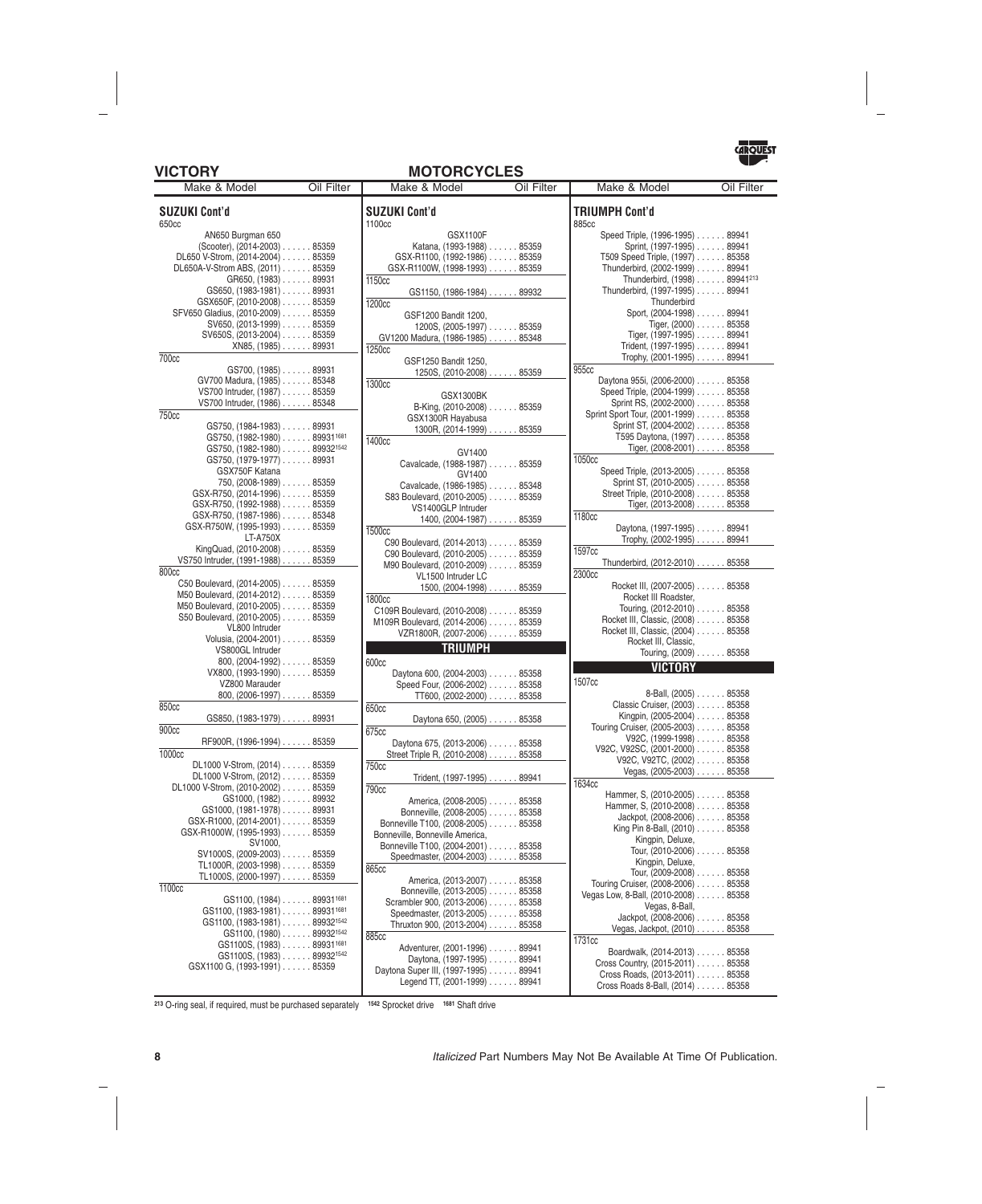### **VICTORY MOTORCYCLES**



| Make & Model                                         | Oil Filter | Make & Model<br>Oil Filter             | Make & Model                         | Oil Filter |
|------------------------------------------------------|------------|----------------------------------------|--------------------------------------|------------|
| <b>SUZUKI Cont'd</b>                                 |            | <b>SUZUKI Cont'd</b>                   | <b>TRIUMPH Cont'd</b>                |            |
| 650cc                                                |            | 1100cc                                 | 885cc                                |            |
| AN650 Burgman 650                                    |            | <b>GSX1100F</b>                        | Speed Triple, (1996-1995) 89941      |            |
| (Scooter), (2014-2003) 85359                         |            | Katana, (1993-1988) 85359              | Sprint, (1997-1995) 89941            |            |
| DL650 V-Strom, (2014-2004) 85359                     |            | GSX-R1100, (1992-1986) 85359           | T509 Speed Triple, (1997) 85358      |            |
| DL650A-V-Strom ABS, (2011) 85359                     |            | GSX-R1100W, (1998-1993) 85359          | Thunderbird, (2002-1999) 89941       |            |
| GR650, (1983) 89931                                  |            | 1150cc                                 | Thunderbird, (1998) 89941213         |            |
| $GS650, (1983-1981) \ldots$ 89931                    |            | GS1150, (1986-1984) 89932              | Thunderbird, (1997-1995) 89941       |            |
| GSX650F, (2010-2008) 85359                           |            | 1200cc                                 | Thunderbird                          |            |
| SFV650 Gladius, (2010-2009) 85359                    |            | GSF1200 Bandit 1200,                   | Sport, (2004-1998) 89941             |            |
| SV650, (2013-1999) 85359                             |            | 1200S, (2005-1997) 85359               | Tiger, $(2000)$ 85358                |            |
| SV650S, (2013-2004) 85359                            |            | GV1200 Madura, (1986-1985) 85348       | Tiger, $(1997-1995)$ 89941           |            |
| $XN85, (1985) \ldots$ 89931                          |            | 1250cc                                 | Trident, (1997-1995) 89941           |            |
| 700 <sub>cc</sub>                                    |            | GSF1250 Bandit 1250,                   | Trophy, $(2001-1995)$ 89941          |            |
| $GS700, (1985) \ldots$ 89931                         |            | $1250S, (2010-2008) \ldots$ 85359      | 955cc                                |            |
| GV700 Madura, (1985) 85348                           |            | 1300 <sub>cc</sub>                     | Daytona 955i, (2006-2000) 85358      |            |
| VS700 Intruder, (1987) 85359                         |            |                                        | Speed Triple, (2004-1999) 85358      |            |
| VS700 Intruder, (1986) 85348                         |            | GSX1300BK                              | Sprint RS, (2002-2000) 85358         |            |
| <b>750cc</b>                                         |            | B-King, (2010-2008) 85359              | Sprint Sport Tour, (2001-1999) 85358 |            |
| GS750, (1984-1983) 89931                             |            | GSX1300R Hayabusa                      | Sprint ST, (2004-2002) 85358         |            |
| $GS750, (1982-1980) \ldots$ 899311681                |            | 1300R, $(2014-1999)$ 85359             | T595 Daytona, (1997) 85358           |            |
| GS750, (1982-1980) 899321542                         |            | 1400cc                                 | Tiger, $(2008-2001)$ 85358           |            |
| GS750, (1979-1977) 89931                             |            | GV1400                                 | 1050 <sub>cc</sub>                   |            |
| GSX750F Katana                                       |            | Cavalcade, (1988-1987) 85359           | Speed Triple, (2013-2005) 85358      |            |
|                                                      |            | GV1400                                 |                                      |            |
| 750, (2008-1989) 85359                               |            | Cavalcade, (1986-1985) 85348           | Sprint ST, (2010-2005) 85358         |            |
| GSX-R750, (2014-1996) 85359                          |            | S83 Boulevard, (2010-2005) 85359       | Street Triple, (2010-2008) 85358     |            |
| GSX-R750, (1992-1988) 85359                          |            | VS1400GLP Intruder                     | Tiger, $(2013-2008)$ 85358           |            |
| GSX-R750, (1987-1986) 85348                          |            | $1400, (2004-1987) \ldots$ 85359       | 1180 <sub>cc</sub>                   |            |
| GSX-R750W, (1995-1993) 85359                         |            | 1500cc                                 | Daytona, (1997-1995) 89941           |            |
| LT-A750X                                             |            | C90 Boulevard, (2014-2013) 85359       | Trophy, (2002-1995) 89941            |            |
| KingQuad, (2010-2008) 85359                          |            | C90 Boulevard, (2010-2005) 85359       | 1597cc                               |            |
| VS750 Intruder, (1991-1988) 85359                    |            | M90 Boulevard, (2010-2009) 85359       | Thunderbird, (2012-2010) 85358       |            |
| 800cc                                                |            | VL1500 Intruder LC                     | 2300 <sub>cc</sub>                   |            |
| C50 Boulevard, (2014-2005) 85359                     |            | $1500, (2004-1998) \ldots$ 85359       | Rocket III, (2007-2005) 85358        |            |
| M50 Boulevard, (2014-2012) 85359                     |            | 1800cc                                 | Rocket III Roadster,                 |            |
| M50 Boulevard, (2010-2005) 85359                     |            | C109R Boulevard, (2010-2008) 85359     | Touring, (2012-2010) 85358           |            |
| S50 Boulevard, (2010-2005) 85359                     |            | M109R Boulevard, (2014-2006) 85359     | Rocket III, Classic, (2008) 85358    |            |
| VL800 Intruder                                       |            | VZR1800R, (2007-2006) 85359            | Rocket III, Classic, (2004) 85358    |            |
| Volusia, (2004-2001) 85359                           |            | <b>Example 21 TRIUMPH</b>              | Rocket III, Classic,                 |            |
| VS800GL Intruder                                     |            |                                        | Touring, (2009) 85358                |            |
| 800, $(2004-1992)$ 85359                             |            | 600cc                                  | <b>VICTORY</b>                       |            |
| VX800, (1993-1990) 85359                             |            | Daytona 600, (2004-2003) 85358         |                                      |            |
| VZ800 Marauder                                       |            | Speed Four, (2006-2002) 85358          | 1507cc                               |            |
| 800, $(2006-1997)$ 85359                             |            | TT600, $(2002-2000)$ 85358             | 8-Ball, (2005) 85358                 |            |
| 850 <sub>cc</sub>                                    |            | 650cc                                  | Classic Cruiser, (2003) 85358        |            |
| GS850, (1983-1979) 89931                             |            | Daytona 650, (2005) 85358              | Kingpin, (2005-2004) 85358           |            |
| 900 <sub>cc</sub>                                    |            | 675cc                                  | Touring Cruiser, (2005-2003) 85358   |            |
| RF900R, (1996-1994) 85359                            |            | Daytona 675, (2013-2006) 85358         | V92C, (1999-1998) 85358              |            |
| 1000cc                                               |            | Street Triple R, (2010-2008) 85358     | V92C, V92SC, (2001-2000) 85358       |            |
| DL1000 V-Strom, (2014) 85359                         |            | 750 <sub>cc</sub>                      | V92C, V92TC, (2002) 85358            |            |
| DL1000 V-Strom, (2012) 85359                         |            | Trident, (1997-1995) 89941             | Vegas, $(2005-2003)$ 85358           |            |
| DL1000 V-Strom, (2010-2002) 85359                    |            | <b>790cc</b>                           | 1634cc                               |            |
| $GS1000, (1982) \ldots$ 89932                        |            |                                        | Hammer, S. (2010-2005) 85358         |            |
| $GS1000, (1981-1978) \ldots$ 89931                   |            | America, (2008-2005) 85358             | Hammer, S, (2010-2008) 85358         |            |
| GSX-R1000, (2014-2001) 85359                         |            | Bonneville, (2008-2005) 85358          | Jackpot, (2008-2006) 85358           |            |
| GSX-R1000W, (1995-1993) 85359                        |            | Bonneville T100, (2008-2005) 85358     | King Pin 8-Ball, (2010) 85358        |            |
| SV1000,                                              |            | Bonneville, Bonneville America,        | Kingpin, Deluxe,                     |            |
|                                                      |            | Bonneville T100, (2004-2001) 85358     | Tour, (2010-2006) 85358              |            |
| SV1000S, (2009-2003) 85359                           |            | Speedmaster, (2004-2003) 85358         | Kingpin, Deluxe,                     |            |
| TL1000R, (2003-1998) 85359                           |            | 865cc                                  | Tour, (2009-2008) 85358              |            |
| TL1000S, (2000-1997) 85359                           |            | America, (2013-2007) 85358             | Touring Cruiser, (2008-2006) 85358   |            |
| 1100 <sub>cc</sub>                                   |            | Bonneville, (2013-2005) 85358          | Vegas Low, 8-Ball, (2010-2008) 85358 |            |
| $GS1100, (1984) \ldots$ 89931 <sup>1681</sup>        |            | Scrambler 900, (2013-2006) 85358       | Vegas, 8-Ball,                       |            |
| $GS1100, (1983-1981) \ldots$ . 89931 <sup>1681</sup> |            | Speedmaster, (2013-2005) 85358         | Jackpot, (2008-2006) 85358           |            |
| GS1100, (1983-1981) 899321542                        |            | Thruxton 900, (2013-2004) 85358        | Vegas, Jackpot, (2010) 85358         |            |
| $GS1100, (1980) \ldots$ 89932 <sup>1542</sup>        |            | 885cc                                  |                                      |            |
| $GS1100S, (1983) \ldots$ 899311681                   |            | Adventurer, (2001-1996) 89941          | 1731cc                               |            |
| GS1100S, (1983) 899321542                            |            | Daytona, (1997-1995) 89941             | Boardwalk, (2014-2013) 85358         |            |
| GSX1100 G, (1993-1991) 85359                         |            | Daytona Super III (1997-1995)<br>89941 | Cross Country, (2015-2011) 85358     |            |

| Make & Model                                                         | Oil Filter |
|----------------------------------------------------------------------|------------|
| TRIUMPH Cont'd                                                       |            |
| 885cc                                                                |            |
| Speed Triple, (1996-1995) 89941                                      |            |
| Sprint, (1997-1995) 89941                                            |            |
| T509 Speed Triple, (1997) 85358                                      |            |
| Thunderbird, (2002-1999) 89941                                       |            |
| Thunderbird, (1998) 89941213                                         |            |
| Thunderbird, (1997-1995) 89941<br>Thunderbird                        |            |
|                                                                      |            |
| Sport, (2004-1998) 89941<br>Tiger, (2000) 85358                      |            |
| Tiger, (1997-1995) 89941                                             |            |
| Trident, (1997-1995) 89941                                           |            |
| Trophy, (2001-1995) 89941                                            |            |
| 955cc                                                                |            |
|                                                                      |            |
| Daytona 955i, (2006-2000) 85358                                      |            |
| Speed Triple, (2004-1999) 85358                                      |            |
| Sprint RS, (2002-2000) 85358                                         |            |
| Sprint Sport Tour, (2001-1999) 85358<br>Sprint ST, (2004-2002) 85358 |            |
| T595 Daytona, (1997) 85358                                           |            |
| Tiger, (2008-2001) 85358                                             |            |
| 1050 <sub>cc</sub>                                                   |            |
|                                                                      |            |
| Speed Triple, (2013-2005) 85358                                      |            |
| Sprint ST, (2010-2005) 85358                                         |            |
| Street Triple, (2010-2008) 85358                                     |            |
| Tiger, (2013-2008) 85358                                             |            |
| 1180 <sub>cc</sub>                                                   |            |
| Daytona, (1997-1995) 89941                                           |            |
| Trophy, (2002-1995) 89941                                            |            |
| 1597cc                                                               |            |
| Thunderbird, (2012-2010) 85358                                       |            |
| 2300 <sub>cc</sub>                                                   |            |
| Rocket III, (2007-2005) 85358                                        |            |
| Rocket III Roadster,                                                 |            |
| Touring, (2012-2010) 85358                                           |            |
| Rocket III, Classic, (2008) 85358                                    |            |
| Rocket III, Classic, (2004) 85358                                    |            |
| Rocket III, Classic,                                                 |            |
| Touring, (2009) 85358                                                |            |
| VICTORY                                                              |            |
| 1507cc                                                               |            |
| 8-Ball, (2005) 85358                                                 |            |
| Classic Cruiser, (2003) 85358                                        |            |
| Kingpin, (2005-2004) 85358                                           |            |
| Touring Cruiser, (2005-2003) 85358                                   |            |
|                                                                      |            |
| V92C, (1999-1998) 85358<br>V92C, V92SC, (2001-2000) 85358            |            |
| V92C, V92TC, (2002) 85358                                            |            |
| Vegas, (2005-2003) 85358                                             |            |
| 1634cc                                                               |            |
| Hammer, S, (2010-2005) 85358                                         |            |
| Hammer, S, (2010-2008) 85358                                         |            |
| Jackpot, (2008-2006) 85358                                           |            |
| King Pin 8-Ball, (2010) 85358                                        |            |
| Kingpin, Deluxe,                                                     |            |
| Tour, (2010-2006) 85358                                              |            |
| Kingpin, Deluxe,                                                     |            |
| Tour, (2009-2008) 85358                                              |            |
| Touring Cruiser, (2008-2006) 85358                                   |            |
| Vegas Low, 8-Ball, (2010-2008) 85358                                 |            |
| Vegas, 8-Ball,                                                       |            |
| Jackpot, (2008-2006) 85358                                           |            |
| Vegas, Jackpot, (2010) 85358                                         |            |
| 1731cc                                                               |            |
| Boardwalk, (2014-2013) 85358                                         |            |
| Cross Country, (2015-2011) 85358                                     |            |
|                                                                      |            |
| Cross Roads, (2013-2011) 85358<br>Cross Roads 8-Ball, (2014) 85358   |            |

**<sup>213</sup>** O-ring seal, if required, must be purchased separately **<sup>1542</sup>** Sprocket drive **<sup>1681</sup>** Shaft drive

Daytona Super III, (1997-1995) ...... 89941 Legend TT, (2001-1999) ...... 89941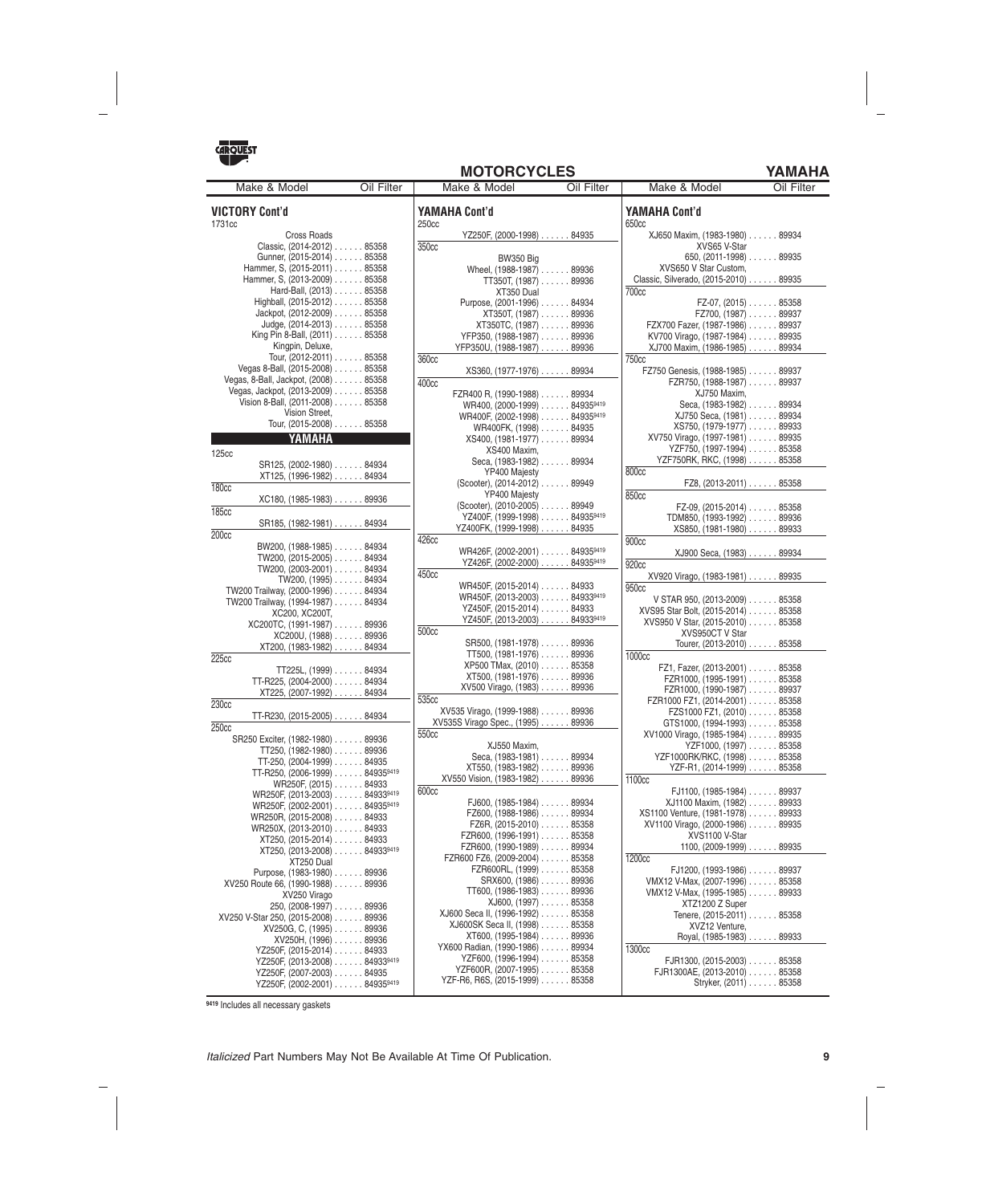

| <b>MOTORCYCLES</b> |  |  |  |  |
|--------------------|--|--|--|--|
|--------------------|--|--|--|--|

YAMAHA

۰

| Make & Model                                               | Oil Filter |                   | Make & Model                                                    | Oil Filter | Make & Model                                                  | Oil Filter |
|------------------------------------------------------------|------------|-------------------|-----------------------------------------------------------------|------------|---------------------------------------------------------------|------------|
| <b>VICTORY Cont'd</b><br>1731cc                            |            | 250cc             | <b>YAMAHA Cont'd</b>                                            |            | <b>YAMAHA Cont'd</b><br>650cc                                 |            |
| Cross Roads                                                |            |                   | YZ250F, (2000-1998) 84935                                       |            | XJ650 Maxim, (1983-1980) 89934                                |            |
| Classic, (2014-2012) 85358                                 |            | 350cc             |                                                                 |            | XVS65 V-Star                                                  |            |
| Gunner, (2015-2014) 85358                                  |            |                   | <b>BW350 Big</b>                                                |            | 650, $(2011-1998)$ 89935                                      |            |
| Hammer, S. (2015-2011) 85358                               |            |                   | Wheel, (1988-1987) 89936                                        |            | XVS650 V Star Custom.                                         |            |
| Hammer, S. (2013-2009) 85358                               |            |                   | TT350T, $(1987)$ 89936                                          |            | Classic, Silverado, (2015-2010) 89935                         |            |
| Hard-Ball, (2013) 85358                                    |            |                   | XT350 Dual                                                      |            | 700 <sub>cc</sub>                                             |            |
| Highball, (2015-2012) 85358                                |            |                   | Purpose, (2001-1996) 84934                                      |            | $FZ-07$ , (2015) $\ldots$ 85358                               |            |
| Jackpot, (2012-2009) 85358                                 |            |                   | XT350T, (1987) 89936                                            |            | $FZ700, (1987) \ldots$ 89937                                  |            |
| Judge, $(2014 - 2013) \ldots$ . 85358                      |            |                   | XT350TC, (1987) 89936                                           |            | FZX700 Fazer, (1987-1986) 89937                               |            |
| King Pin 8-Ball, (2011) 85358                              |            |                   | YFP350, (1988-1987) 89936                                       |            | KV700 Virago, (1987-1984) 89935                               |            |
| Kingpin, Deluxe,                                           |            |                   | YFP350U, (1988-1987) 89936                                      |            | XJ700 Maxim, (1986-1985) 89934                                |            |
| Tour, (2012-2011) 85358                                    |            | 360 <sub>cc</sub> |                                                                 |            | <b>750cc</b>                                                  |            |
| Vegas 8-Ball, (2015-2008) 85358                            |            |                   | XS360, (1977-1976) 89934                                        |            | FZ750 Genesis, (1988-1985) 89937                              |            |
| Vegas, 8-Ball, Jackpot, (2008) 85358                       |            | 400 <sub>cc</sub> |                                                                 |            | FZR750, $(1988-1987)$ 89937                                   |            |
| Vegas, Jackpot, (2013-2009) 85358                          |            |                   | FZR400 R, (1990-1988) 89934                                     |            | XJ750 Maxim,                                                  |            |
| Vision 8-Ball, (2011-2008) 85358                           |            |                   | WR400, (2000-1999) 849359419                                    |            | Seca, (1983-1982) 89934                                       |            |
| Vision Street,                                             |            |                   | WR400F, (2002-1998) 849359419                                   |            | XJ750 Seca, (1981) 89934                                      |            |
| Tour, (2015-2008) 85358                                    |            |                   | WR400FK, (1998) 84935                                           |            | XS750, (1979-1977) 89933                                      |            |
| YAMAHA                                                     |            |                   | XS400, (1981-1977) 89934                                        |            | XV750 Virago, (1997-1981) 89935                               |            |
| <b>125cc</b>                                               |            |                   | XS400 Maxim.                                                    |            | YZF750, (1997-1994) 85358                                     |            |
| SR125, (2002-1980) 84934                                   |            |                   | Seca, (1983-1982) 89934                                         |            | YZF750RK, RKC, (1998) 85358                                   |            |
| XT125, (1996-1982) 84934                                   |            |                   | YP400 Majesty                                                   |            | 800cc                                                         |            |
| <b>180cc</b>                                               |            |                   | (Scooter), (2014-2012) 89949                                    |            | $FZ8, (2013-2011) \ldots$ . 85358                             |            |
| $XC180, (1985-1983) \ldots$ . 89936                        |            |                   | YP400 Majesty                                                   |            | 850cc                                                         |            |
| 185 <sub>cc</sub>                                          |            |                   | (Scooter), (2010-2005) 89949                                    |            | $FZ-09$ , (2015-2014) $\ldots$ 85358                          |            |
| SR185, (1982-1981) 84934                                   |            |                   | YZ400F, (1999-1998) 849359419                                   |            | TDM850, (1993-1992) 89936                                     |            |
| 200 <sub>cc</sub>                                          |            |                   | YZ400FK, (1999-1998) 84935                                      |            | XS850, (1981-1980) 89933                                      |            |
| BW200, (1988-1985) 84934                                   |            | 426cc             |                                                                 |            | 900cc                                                         |            |
| TW200, (2015-2005) 84934                                   |            |                   | WR426F, (2002-2001) 849359419                                   |            | XJ900 Seca, (1983) 89934                                      |            |
| TW200, (2003-2001) 84934                                   |            |                   | YZ426F, (2002-2000) 849359419                                   |            | 920 <sub>cc</sub>                                             |            |
| TW200, (1995) 84934                                        |            | 450 <sub>c</sub>  |                                                                 |            | XV920 Virago, (1983-1981) 89935                               |            |
| TW200 Trailway, (2000-1996) 84934                          |            |                   | WR450F, (2015-2014) 84933                                       |            | 950 <sub>cc</sub>                                             |            |
| TW200 Trailway, (1994-1987) 84934                          |            |                   | WR450F, (2013-2003) 849339419                                   |            | V STAR 950, (2013-2009) 85358                                 |            |
| XC200, XC200T.                                             |            |                   | YZ450F, $(2015-2014)$ 84933                                     |            | XVS95 Star Bolt, (2015-2014) 85358                            |            |
| XC200TC, (1991-1987) 89936                                 |            |                   | YZ450F, (2013-2003) 849339419                                   |            | XVS950 V Star, (2015-2010) 85358                              |            |
| XC200U, (1988) 89936                                       |            | 500 <sub>cc</sub> |                                                                 |            | XVS950CT V Star                                               |            |
| XT200, (1983-1982) 84934                                   |            |                   | SR500, (1981-1978) 89936                                        |            | Tourer, (2013-2010) 85358                                     |            |
| 225cc                                                      |            |                   | $TT500, (1981-1976) \ldots$ 89936<br>XP500 TMax, (2010) 85358   |            | 1000cc                                                        |            |
| TT225L, $(1999)$ 84934                                     |            |                   |                                                                 |            | FZ1, Fazer, (2013-2001) 85358                                 |            |
| TT-R225, (2004-2000) 84934                                 |            |                   | $XT500, (1981-1976) \ldots$ 89936<br>XV500 Virago, (1983) 89936 |            | FZR1000, (1995-1991) 85358                                    |            |
| XT225, (2007-1992) 84934                                   |            | 535cc             |                                                                 |            | FZR1000, (1990-1987) 89937                                    |            |
| 230 <sub>cc</sub>                                          |            |                   | XV535 Virago, (1999-1988) 89936                                 |            | FZR1000 FZ1, $(2014-2001)$ 85358<br>FZS1000 FZ1, (2010) 85358 |            |
| TT-R230, $(2015-2005)$ 84934                               |            |                   | XV535S Virago Spec., (1995) 89936                               |            | GTS1000, (1994-1993) 85358                                    |            |
| 250cc                                                      |            | 550 <sub>cc</sub> |                                                                 |            | XV1000 Virago, (1985-1984) 89935                              |            |
| SR250 Exciter, (1982-1980) 89936                           |            |                   | XJ550 Maxim,                                                    |            | YZF1000, (1997) 85358                                         |            |
| $TT250, (1982-1980) \ldots$ 89936                          |            |                   | Seca. (1983-1981) 89934                                         |            | YZF1000RK/RKC, (1998) 85358                                   |            |
| $TT-250, (2004-1999) \ldots$ 84935                         |            |                   | XT550, (1983-1982)89936                                         |            | YZF-R1, (2014-1999) 85358                                     |            |
| TT-R250, (2006-1999) 849359419                             |            |                   | XV550 Vision, (1983-1982) 89936                                 |            | 1100cc                                                        |            |
| WR250F, (2015) 84933                                       |            | 600 <sub>cc</sub> |                                                                 |            | FJ1100, (1985-1984) 89937                                     |            |
| WR250F, (2013-2003) 849339419                              |            |                   | FJ600, (1985-1984) 89934                                        |            | XJ1100 Maxim, (1982) 89933                                    |            |
| WR250F, (2002-2001) 849359419<br>WR250R, (2015-2008) 84933 |            |                   | FZ600, $(1988-1986)$ 89934                                      |            | XS1100 Venture, (1981-1978) 89933                             |            |
| WR250X, (2013-2010) 84933                                  |            |                   | FZ6R, (2015-2010) 85358                                         |            | XV1100 Virago, (2000-1986) 89935                              |            |
| XT250, (2015-2014) 84933                                   |            |                   | $FZR600, (1996-1991) \ldots \ldots 85358$                       |            | XVS1100 V-Star                                                |            |
| XT250, (2013-2008) 849339419                               |            |                   | FZR600, (1990-1989) 89934                                       |            | $1100, (2009-1999) \ldots$ 89935                              |            |
| XT250 Dual                                                 |            |                   | FZR600 FZ6, (2009-2004) 85358                                   |            | 1200cc                                                        |            |
| Purpose, (1983-1980) 89936                                 |            |                   | FZR600RL, (1999) 85358                                          |            | $FJ1200, (1993-1986) \ldots$ 89937                            |            |
| XV250 Route 66, (1990-1988) 89936                          |            |                   | SRX600, (1986) 89936                                            |            | VMX12 V-Max, (2007-1996) 85358                                |            |
| XV250 Virago                                               |            |                   | $TT600, (1986-1983) \ldots$ 89936                               |            | VMX12 V-Max, (1995-1985) 89933                                |            |
| 250, (2008-1997) 89936                                     |            |                   | XJ600, (1997) 85358                                             |            | XTZ1200 Z Super                                               |            |
| XV250 V-Star 250, (2015-2008) 89936                        |            |                   | XJ600 Seca II, (1996-1992) 85358                                |            | Tenere, (2015-2011) 85358                                     |            |
| XV250G, C, (1995)89936                                     |            |                   | XJ600SK Seca II, (1998) 85358                                   |            | XVZ12 Venture,                                                |            |
| XV250H, (1996) 89936                                       |            |                   | XT600, (1995-1984)89936                                         |            | Royal, (1985-1983) 89933                                      |            |
| YZ250F, (2015-2014) 84933                                  |            |                   | YX600 Radian, (1990-1986) 89934                                 |            | 1300cc                                                        |            |
| YZ250F, (2013-2008) 849339419                              |            |                   | YZF600, (1996-1994) 85358                                       |            | $FIR1300, (2015-2003) \ldots$ 85358                           |            |
| YZ250F, (2007-2003) 84935                                  |            |                   | YZF600R, (2007-1995) 85358<br>YZF-R6, R6S, (2015-1999) 85358    |            | FJR1300AE, (2013-2010) 85358                                  |            |
| YZ250F, $(2002-2001)$ 849359419                            |            |                   |                                                                 |            | Stryker, (2011) 85358                                         |            |

**<sup>9419</sup>** Includes all necessary gaskets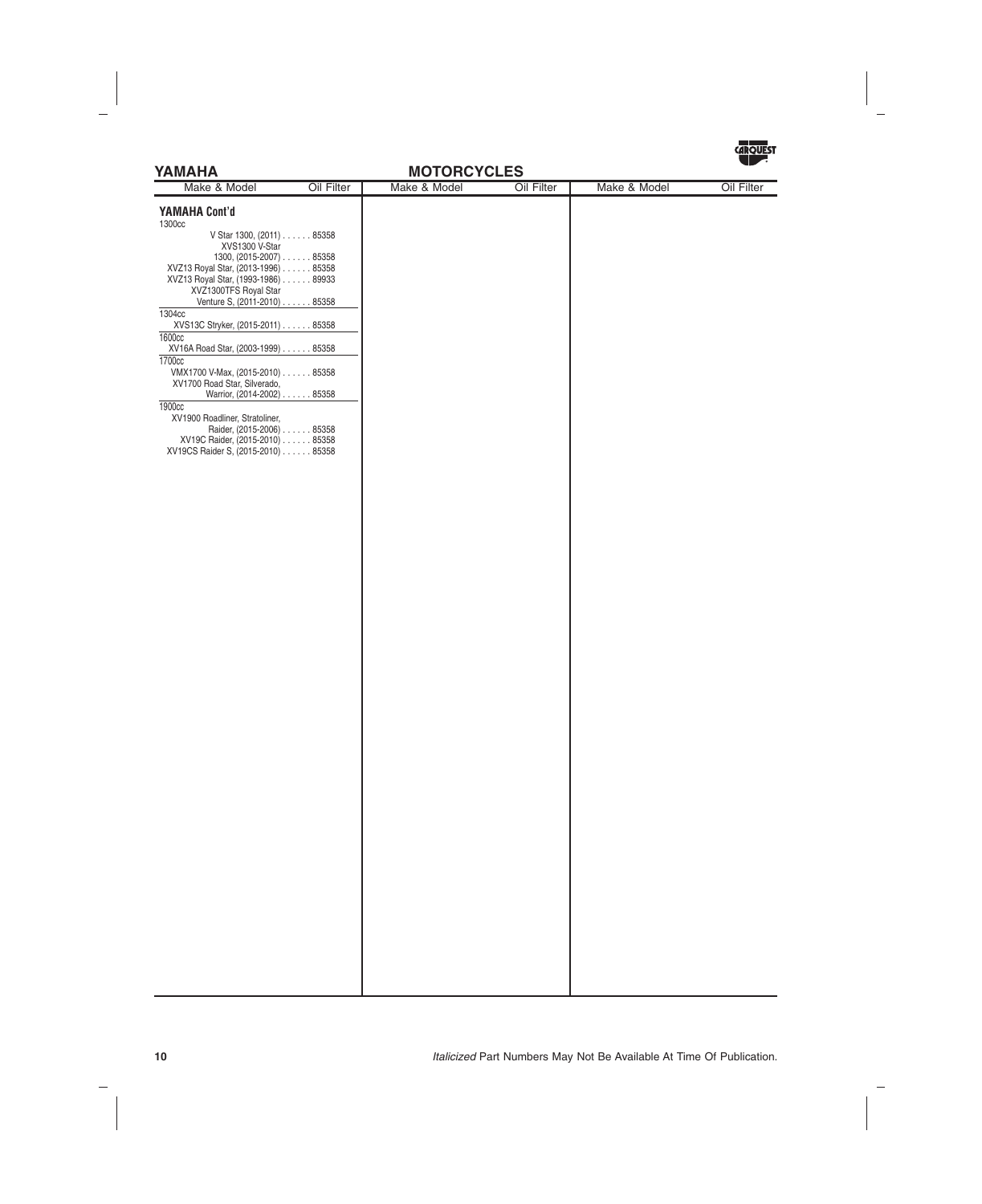

# **YAMAHA Cont'd** 1300cc V Star 1300, (2011) ...... 85358 XVS1300 V-Star 1300, (2015-2007) ...... 85358 XVZ13 Royal Star, (2013-1996) ...... 85358 XVZ13 Royal Star, (1993-1986) ...... 89933 XVZ1300TFS Royal Star Venture S, (2011-2010) ...... 85358 1304cc XVS13C Stryker, (2015-2011) ...... 85358 1600cc XV16A Road Star, (2003-1999) ...... 85358 1700cc VMX1700 V-Max, (2015-2010) ...... 85358 XV1700 Road Star, Silverado, Warrior, (2014-2002) . . . . . . 85358 1900cc XV1900 Roadliner, Stratoliner, Raider, (2015-2006) ...... 85358 XV19C Raider, (2015-2010) ...... 85358 XV19CS Raider S, (2015-2010) ...... 85358 **YAMAHA MOTORCYCLES**<br>Make & Model **Dil Filter** | Make & Model 0 Make & Model **Oil Filter | Make & Model Oil Filter | Make & Model Oil Filter**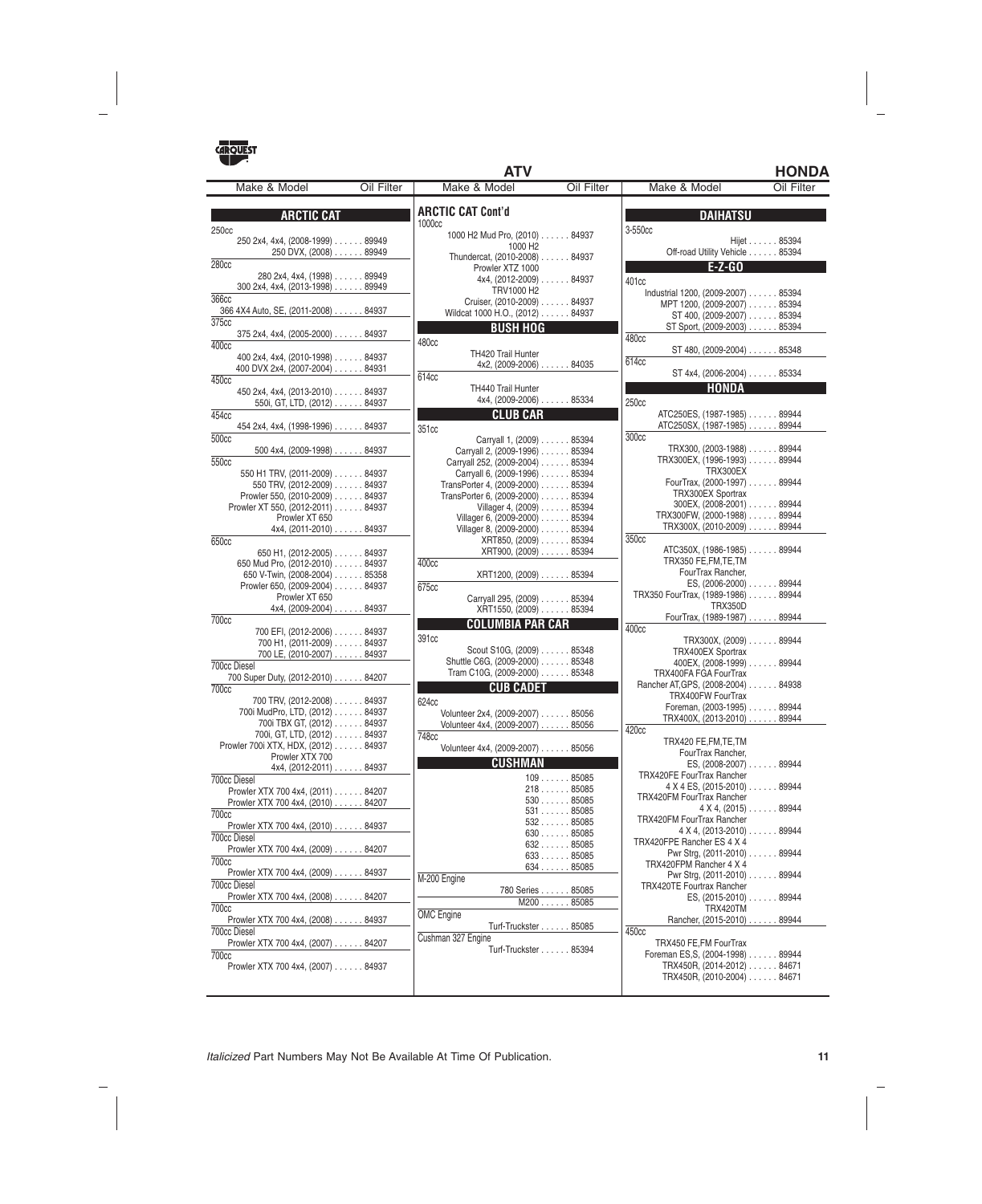|                                                        |            | <b>ATV</b>                                                | <b>HONDA</b>                                                                                                               |
|--------------------------------------------------------|------------|-----------------------------------------------------------|----------------------------------------------------------------------------------------------------------------------------|
| Make & Model                                           | Oil Filter | Make & Model<br>Oil Filter                                | Make & Model<br>Oil Filter                                                                                                 |
| <b>ARCTIC CAT</b>                                      |            | <b>ARCTIC CAT Cont'd</b>                                  | <b>DAIHATSU</b>                                                                                                            |
| 250 <sub>cc</sub>                                      |            | 1000cc                                                    | 3-550cc                                                                                                                    |
| 250 2x4, 4x4, (2008-1999) 89949                        |            | 1000 H2 Mud Pro, (2010) 84937                             | Hijet 85394                                                                                                                |
| 250 DVX, (2008) 89949                                  |            | 1000 H <sub>2</sub><br>Thundercat, (2010-2008) 84937      | Off-road Utility Vehicle 85394                                                                                             |
| 280 <sub>cc</sub>                                      |            | Prowler XTZ 1000                                          | $E-Z-GO$<br>and the state of the state of the state of the state of the state of the state of the state of the state of th |
| 280 2x4, 4x4, (1998) 89949                             |            | 4x4, (2012-2009) 84937                                    | 401cc                                                                                                                      |
| 300 2x4, 4x4, (2013-1998) 89949                        |            | TRV1000 H2                                                | Industrial 1200, (2009-2007) 85394                                                                                         |
| 366cc                                                  |            | Cruiser, (2010-2009) 84937                                | MPT 1200, (2009-2007) 85394                                                                                                |
| 366 4X4 Auto, SE, (2011-2008) 84937                    |            | Wildcat 1000 H.O., (2012) 84937                           | ST 400, (2009-2007) 85394                                                                                                  |
| 375cc<br>375 2x4, 4x4, (2005-2000) 84937               |            | <b>BUSH HOG</b>                                           | ST Sport, (2009-2003) 85394                                                                                                |
| 400 <sub>cc</sub>                                      |            | 480cc                                                     | 480cc                                                                                                                      |
| 400 2x4, 4x4, (2010-1998) 84937                        |            | TH420 Trail Hunter                                        | ST 480, (2009-2004) 85348<br>614cc                                                                                         |
| 400 DVX 2x4, (2007-2004) 84931                         |            | $4x2, (2009-2006) \ldots$ . 84035                         | ST 4x4, (2006-2004) 85334                                                                                                  |
| 450cc                                                  |            | 614cc                                                     |                                                                                                                            |
| 450 2x4, 4x4, (2013-2010) 84937                        |            | <b>TH440 Trail Hunter</b><br>4x4, (2009-2006) 85334       | <b>HONDA</b>                                                                                                               |
| 550i, GT, LTD, (2012) 84937                            |            |                                                           | 250cc                                                                                                                      |
| 454cc                                                  |            | <b>CLUB CAR</b>                                           | ATC250ES, (1987-1985) 89944<br>ATC250SX, (1987-1985) 89944                                                                 |
| 454 2x4, 4x4, (1998-1996) 84937<br>500 <sub>cc</sub>   |            | 351cc                                                     | 300 <sub>cc</sub>                                                                                                          |
| 500 4x4, $(2009-1998)$ 84937                           |            | Carryall 1, (2009) 85394<br>Carryall 2, (2009-1996) 85394 | TRX300, (2003-1988) 89944                                                                                                  |
| 550cc                                                  |            | Carryall 252, (2009-2004) 85394                           | TRX300EX, (1996-1993) 89944                                                                                                |
| 550 H1 TRV, (2011-2009) 84937                          |            | Carryall 6, (2009-1996) 85394                             | TRX300EX                                                                                                                   |
| 550 TRV, (2012-2009) 84937                             |            | TransPorter 4, (2009-2000) 85394                          | FourTrax, (2000-1997) 89944                                                                                                |
| Prowler 550, (2010-2009) 84937                         |            | TransPorter 6, (2009-2000) 85394                          | TRX300EX Sportrax<br>300EX, (2008-2001) 89944                                                                              |
| Prowler XT 550, (2012-2011) 84937                      |            | Villager 4, (2009) 85394<br>Villager 6, (2009-2000) 85394 | TRX300FW, (2000-1988) 89944                                                                                                |
| Prowler XT 650<br>$4x4, (2011-2010) \ldots$ . 84937    |            | Villager 8, (2009-2000) 85394                             | TRX300X, (2010-2009) 89944                                                                                                 |
| 650cc                                                  |            | XRT850, (2009) 85394                                      | 350cc                                                                                                                      |
| 650 H1, $(2012-2005)$ 84937                            |            | XRT900, (2009) 85394                                      | ATC350X, (1986-1985) 89944                                                                                                 |
| 650 Mud Pro, (2012-2010) 84937                         |            | 400 <sub>cc</sub>                                         | TRX350 FE, FM, TE, TM                                                                                                      |
| 650 V-Twin, (2008-2004) 85358                          |            | XRT1200, (2009) 85394                                     | FourTrax Rancher,                                                                                                          |
| Prowler 650, (2009-2004) 84937                         |            | 675cc                                                     | ES, (2006-2000) 89944<br>TRX350 FourTrax, (1989-1986) 89944                                                                |
| Prowler XT 650<br>$4x4, (2009-2004) \ldots$ . 84937    |            | Carryall 295, (2009) 85394<br>XRT1550, (2009) 85394       | <b>TRX350D</b>                                                                                                             |
| 700 <sub>cc</sub>                                      |            |                                                           | FourTrax, (1989-1987) 89944                                                                                                |
| 700 EFI, (2012-2006) 84937                             |            | <b>COLUMBIA PAR CAR</b>                                   | 400 <sub>cc</sub>                                                                                                          |
| 700 H1, (2011-2009) 84937                              |            | 391cc<br>Scout S10G, (2009) 85348                         | TRX300X, (2009) 89944                                                                                                      |
| 700 LE, (2010-2007) 84937                              |            | Shuttle C6G, (2009-2000) 85348                            | TRX400EX Sportrax<br>400EX, (2008-1999) 89944                                                                              |
| 700cc Diesel                                           |            | Tram C10G, (2009-2000) 85348                              | TRX400FA FGA FourTrax                                                                                                      |
| 700 Super Duty, (2012-2010) 84207<br>700 <sub>cc</sub> |            | <b>CUB CADET</b>                                          | Rancher AT, GPS, (2008-2004) 84938                                                                                         |
| 700 TRV, (2012-2008) 84937                             |            | 624cc                                                     | TRX400FW FourTrax                                                                                                          |
| 700i MudPro, LTD, (2012) 84937                         |            | Volunteer 2x4, (2009-2007) 85056                          | Foreman, (2003-1995) 89944                                                                                                 |
| 700i TBX GT, (2012) 84937                              |            | Volunteer 4x4, (2009-2007) 85056                          | TRX400X, (2013-2010) 89944                                                                                                 |
| 700i, GT, LTD, (2012) 84937                            |            | 748cc                                                     | 420cc<br>TRX420 FE, FM, TE, TM                                                                                             |
| Prowler 700i XTX, HDX, (2012) 84937                    |            | Volunteer 4x4, (2009-2007) 85056                          | FourTrax Rancher,                                                                                                          |
| Prowler XTX 700<br>$4x4, (2012-2011) \ldots$ . 84937   |            | <b>CUSHMAN</b>                                            | ES, (2008-2007) 89944                                                                                                      |
| 700cc Diesel                                           |            | 10985085                                                  | <b>TRX420FE FourTrax Rancher</b>                                                                                           |
| Prowler XTX 700 4x4, (2011) 84207                      |            | 21885085                                                  | 4 X 4 ES, (2015-2010) 89944                                                                                                |
| Prowler XTX 700 4x4, (2010) 84207                      |            | $530$ 85085                                               | <b>TRX420FM FourTrax Rancher</b>                                                                                           |
| <b>700cc</b>                                           |            | 53185085                                                  | $4 \times 4$ , (2015) $\ldots \ldots 89944$<br>TRX420FM FourTrax Rancher                                                   |
| Prowler XTX 700 4x4, (2010) 84937                      |            | 53285085<br>63085085                                      | $4 X 4$ , $(2013-2010)$ 89944                                                                                              |
| 700cc Diesel                                           |            | 63285085                                                  | TRX420FPE Rancher ES 4 X 4                                                                                                 |
| Prowler XTX 700 4x4, (2009) 84207                      |            | 63385085                                                  | Pwr Strg, (2011-2010) 89944                                                                                                |
| 700 <sub>cc</sub><br>Prowler XTX 700 4x4, (2009) 84937 |            | 63485085                                                  | TRX420FPM Rancher 4 X 4                                                                                                    |
| 700cc Diesel                                           |            | M-200 Engine                                              | Pwr Strg, (2011-2010) 89944<br><b>TRX420TE Fourtrax Rancher</b>                                                            |
| Prowler XTX 700 4x4, (2008) 84207                      |            | 780 Series 85085                                          | $ES, (2015-2010) \ldots$ 89944                                                                                             |
| 700 <sub>cc</sub>                                      |            | M20085085                                                 | TRX420TM                                                                                                                   |
| Prowler XTX 700 4x4, (2008) 84937                      |            | <b>OMC</b> Engine                                         | Rancher, (2015-2010) 89944                                                                                                 |
| 700cc Diesel                                           |            | Turf-Truckster 85085<br>Cushman 327 Engine                | 450cc                                                                                                                      |
| Prowler XTX 700 4x4, (2007) 84207                      |            | Turf-Truckster 85394                                      | TRX450 FE,FM FourTrax                                                                                                      |
| 700 <sub>cc</sub>                                      |            |                                                           | Foreman ES, S, (2004-1998) 89944                                                                                           |
| Prowler XTX 700 4x4, (2007) 84937                      |            |                                                           | TRX450R, (2014-2012) 84671<br>TRX450R, (2010-2004) 84671                                                                   |
|                                                        |            |                                                           |                                                                                                                            |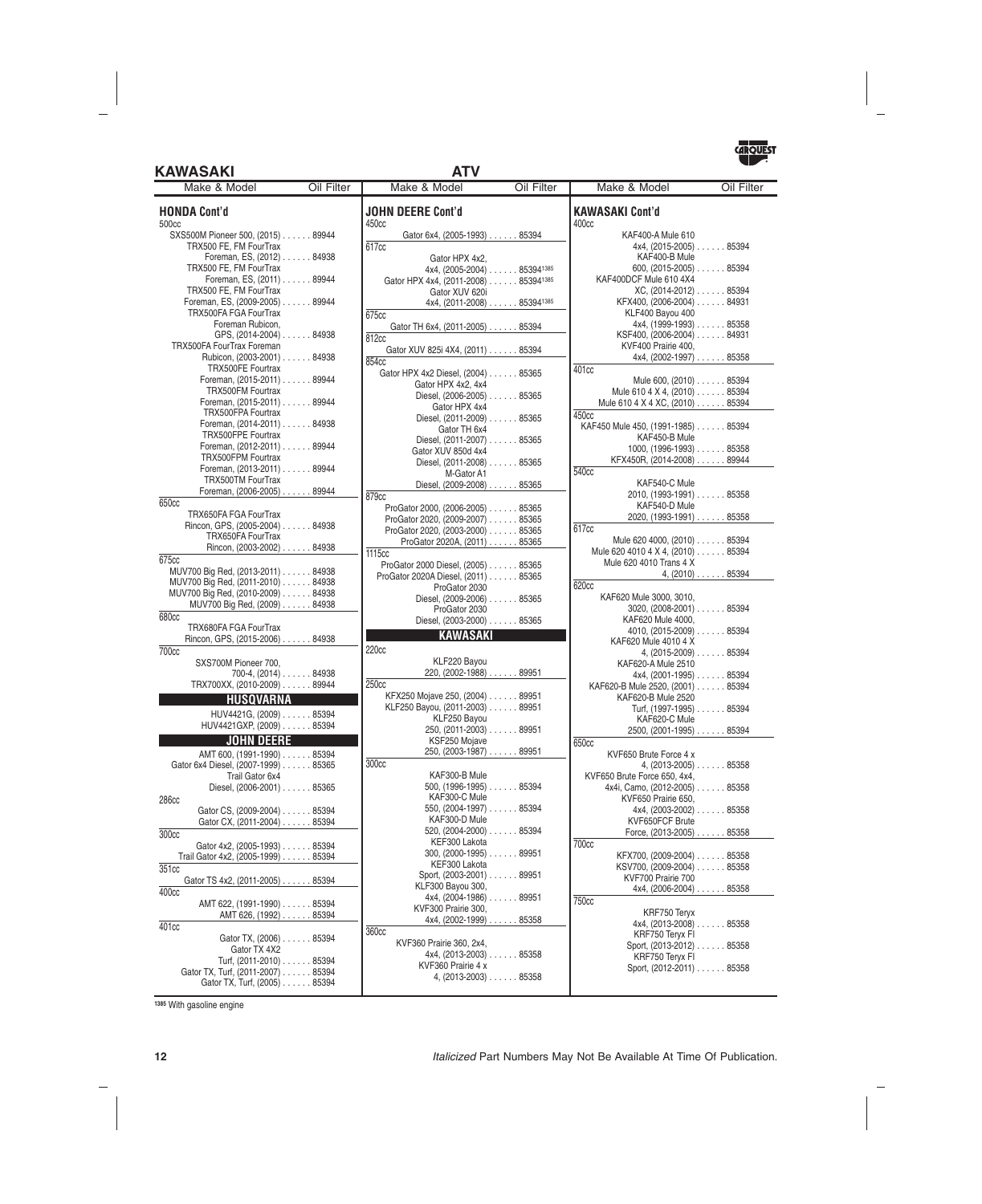### **KAWASAKI ATV**



| Make & Model                                             | Oil Filter | Make & Model                                                              | Oil Filter | Make & Model                                       | Oil Filter                 |
|----------------------------------------------------------|------------|---------------------------------------------------------------------------|------------|----------------------------------------------------|----------------------------|
| <b>HONDA Cont'd</b><br>500cc                             |            | <b>JOHN DEERE Cont'd</b><br>450cc                                         |            | <b>KAWASAKI Cont'd</b><br>400cc                    |                            |
| SXS500M Pioneer 500, (2015) 89944                        |            | Gator 6x4, (2005-1993) 85394                                              |            | KAF400-A Mule 610                                  |                            |
| TRX500 FE, FM FourTrax                                   |            | 617cc                                                                     |            | $4x4, (2015-2005) \ldots$ 85394                    |                            |
| Foreman, ES, (2012) 84938                                |            | Gator HPX 4x2,                                                            |            | KAF400-B Mule                                      |                            |
| TRX500 FE, FM FourTrax                                   |            | 4x4, (2005-2004) 853941385                                                |            | 600, $(2015-2005)$ 85394                           |                            |
| Foreman, ES, (2011) 89944                                |            | Gator HPX 4x4, (2011-2008) 853941385                                      |            | KAF400DCF Mule 610 4X4                             |                            |
| TRX500 FE, FM FourTrax<br>Foreman, ES, (2009-2005) 89944 |            | Gator XUV 620i                                                            |            | XC, (2014-2012) 85394<br>KFX400, (2006-2004) 84931 |                            |
| TRX500FA FGA FourTrax                                    |            | 4x4, (2011-2008) 853941385                                                |            | KLF400 Bayou 400                                   |                            |
| Foreman Rubicon.                                         |            | 675cc                                                                     |            | $4x4, (1999-1993) \ldots$ . 85358                  |                            |
| GPS, (2014-2004) 84938                                   |            | Gator TH 6x4, (2011-2005) 85394<br>812cc                                  |            | KSF400, (2006-2004) 84931                          |                            |
| <b>TRX500FA FourTrax Foreman</b>                         |            | Gator XUV 825i 4X4, (2011) 85394                                          |            | KVF400 Prairie 400,                                |                            |
| Rubicon, (2003-2001) 84938                               |            | 854cc                                                                     |            | 4x4, (2002-1997) 85358                             |                            |
| TRX500FE Fourtrax                                        |            | Gator HPX 4x2 Diesel, (2004) 85365                                        |            | 401cc                                              |                            |
| Foreman, (2015-2011) 89944                               |            | Gator HPX 4x2, 4x4                                                        |            | Mule 600, (2010) 85394                             |                            |
| TRX500FM Fourtrax                                        |            | Diesel, (2006-2005) 85365                                                 |            | Mule 610 4 X 4, (2010) 85394                       |                            |
| Foreman, (2015-2011) 89944                               |            | Gator HPX 4x4                                                             |            | Mule 610 4 X 4 XC, (2010) 85394                    |                            |
| TRX500FPA Fourtrax                                       |            | Diesel, (2011-2009) 85365                                                 |            | 450cc                                              |                            |
| Foreman, (2014-2011) 84938                               |            | Gator TH 6x4                                                              |            | KAF450 Mule 450, (1991-1985) 85394                 |                            |
| TRX500FPE Fourtrax                                       |            | Diesel, (2011-2007) 85365                                                 |            | KAF450-B Mule                                      |                            |
| Foreman, (2012-2011) 89944<br>TRX500FPM Fourtrax         |            | Gator XUV 850d 4x4                                                        |            | $1000, (1996-1993) \ldots$ . 85358                 |                            |
| Foreman, (2013-2011) 89944                               |            | Diesel, (2011-2008) 85365                                                 |            | KFX450R, (2014-2008) 89944                         |                            |
| TRX500TM FourTrax                                        |            | M-Gator A1                                                                |            | 540 <sub>cc</sub>                                  |                            |
| Foreman, (2006-2005) 89944                               |            | Diesel, (2009-2008) 85365                                                 |            | KAF540-C Mule                                      |                            |
| 650cc                                                    |            | 879 <sub>cc</sub>                                                         |            | 2010, (1993-1991) 85358                            |                            |
| TRX650FA FGA FourTrax                                    |            | ProGator 2000, (2006-2005) 85365                                          |            | KAF540-D Mule<br>2020, (1993-1991) 85358           |                            |
| Rincon, GPS, (2005-2004) 84938                           |            | ProGator 2020, (2009-2007) 85365                                          |            | 617cc                                              |                            |
| TRX650FA FourTrax                                        |            | ProGator 2020, (2003-2000) 85365                                          |            | Mule 620 4000, (2010) 85394                        |                            |
| Rincon, (2003-2002) 84938                                |            | ProGator 2020A, (2011) 85365<br>1115cc                                    |            | Mule 620 4010 4 X 4, (2010) 85394                  |                            |
| 675cc                                                    |            |                                                                           |            | Mule 620 4010 Trans 4 X                            |                            |
| MUV700 Big Red, (2013-2011) 84938                        |            | ProGator 2000 Diesel, (2005) 85365<br>ProGator 2020A Diesel, (2011) 85365 |            |                                                    | $4, (2010) \ldots$ . 85394 |
| MUV700 Big Red, (2011-2010) 84938                        |            | ProGator 2030                                                             |            | 620cc                                              |                            |
| MUV700 Big Red, (2010-2009) 84938                        |            | Diesel, (2009-2006) 85365                                                 |            | KAF620 Mule 3000, 3010,                            |                            |
| MUV700 Big Red, (2009) 84938                             |            | ProGator 2030                                                             |            | $3020, (2008-2001) \ldots$ . 85394                 |                            |
| 680cc                                                    |            | Diesel, (2003-2000) 85365                                                 |            | KAF620 Mule 4000,                                  |                            |
| TRX680FA FGA FourTrax                                    |            | <b>KAWASAKI</b>                                                           |            | 4010, (2015-2009) 85394                            |                            |
| Rincon, GPS, (2015-2006) 84938                           |            |                                                                           |            | KAF620 Mule 4010 4 X                               |                            |
| <b>700cc</b>                                             |            | 220 <sub>cc</sub>                                                         |            | $4, (2015-2009) \ldots$ 85394                      |                            |
| SXS700M Pioneer 700,                                     |            | KLF220 Bayou<br>220, (2002-1988) 89951                                    |            | KAF620-A Mule 2510                                 |                            |
| $700-4, (2014) \ldots$ . 84938                           |            | 250 <sub>cc</sub>                                                         |            | $4x4, (2001-1995) \ldots$ . 85394                  |                            |
| TRX700XX, (2010-2009) 89944                              |            | KFX250 Mojave 250, (2004) 89951                                           |            | KAF620-B Mule 2520, (2001) 85394                   |                            |
| <b>HUSQVARNA</b>                                         |            | KLF250 Bayou, (2011-2003) 89951                                           |            | KAF620-B Mule 2520<br>Turf, (1997-1995) 85394      |                            |
| HUV4421G, (2009) 85394                                   |            | KLF250 Bayou                                                              |            | KAF620-C Mule                                      |                            |
| HUV4421GXP, (2009) 85394                                 |            | $250, (2011-2003) \ldots$ 89951                                           |            | 2500, (2001-1995) 85394                            |                            |
| <b>JOHN DEERE</b>                                        |            | KSF250 Mojave                                                             |            | 650cc                                              |                            |
| AMT 600, (1991-1990) 85394                               |            | 250, (2003-1987) 89951                                                    |            | KVF650 Brute Force 4 x                             |                            |
| Gator 6x4 Diesel, (2007-1999) 85365                      |            | 300cc                                                                     |            | 4, $(2013-2005)$ 85358                             |                            |
| Trail Gator 6x4                                          |            | KAF300-B Mule                                                             |            | KVF650 Brute Force 650, 4x4,                       |                            |
| Diesel, (2006-2001) 85365                                |            | $500, (1996-1995) \ldots$ 85394                                           |            | 4x4i, Camo, (2012-2005) 85358                      |                            |
| 286cc                                                    |            | KAF300-C Mule                                                             |            | KVF650 Prairie 650.                                |                            |
| Gator CS, (2009-2004) 85394                              |            | $550, (2004-1997) \ldots$ 85394                                           |            | $4x4, (2003-2002) \ldots$ . 85358                  |                            |
| Gator CX, (2011-2004) 85394                              |            | KAF300-D Mule                                                             |            | KVF650FCF Brute                                    |                            |
| 300cc                                                    |            | 520, (2004-2000) 85394                                                    |            | Force, $(2013-2005)$ 85358                         |                            |
| Gator 4x2, (2005-1993) 85394                             |            | KEF300 Lakota<br>$300, (2000-1995) \ldots$ 89951                          |            | 700cc                                              |                            |
| Trail Gator 4x2, (2005-1999) 85394                       |            | KEF300 Lakota                                                             |            | KFX700, (2009-2004) 85358                          |                            |
| 351cc                                                    |            | Sport, (2003-2001) 89951                                                  |            | KSV700, (2009-2004) 85358<br>KVF700 Prairie 700    |                            |
| Gator TS 4x2, (2011-2005) 85394                          |            | KLF300 Bayou 300,                                                         |            | $4x4, (2006-2004) \ldots$ 85358                    |                            |
| 400cc                                                    |            | $4x4, (2004-1986) \ldots$ 89951                                           |            | 750cc                                              |                            |
| AMT 622, (1991-1990) 85394                               |            | KVF300 Prairie 300,                                                       |            | KRF750 Teryx                                       |                            |
| AMT 626, (1992) 85394                                    |            | $4x4, (2002-1999) \ldots$ 85358                                           |            | $4x4, (2013-2008) \ldots$ 85358                    |                            |
| 401cc                                                    |            | 360cc                                                                     |            | KRF750 Teryx FI                                    |                            |
| Gator TX, (2006) 85394                                   |            | KVF360 Prairie 360, 2x4,                                                  |            | Sport, (2013-2012) 85358                           |                            |
| Gator TX 4X2<br>Turf, (2011-2010) 85394                  |            | $4x4, (2013-2003) \ldots$ . 85358                                         |            | KRF750 Teryx FI                                    |                            |
| Gator TX, Turf, (2011-2007) 85394                        |            | KVF360 Prairie 4 x                                                        |            | Sport, (2012-2011) 85358                           |                            |
| Gator TX, Turf, (2005) 85394                             |            | $4, (2013-2003) \ldots$ . 85358                                           |            |                                                    |                            |

**<sup>1385</sup>** With gasoline engine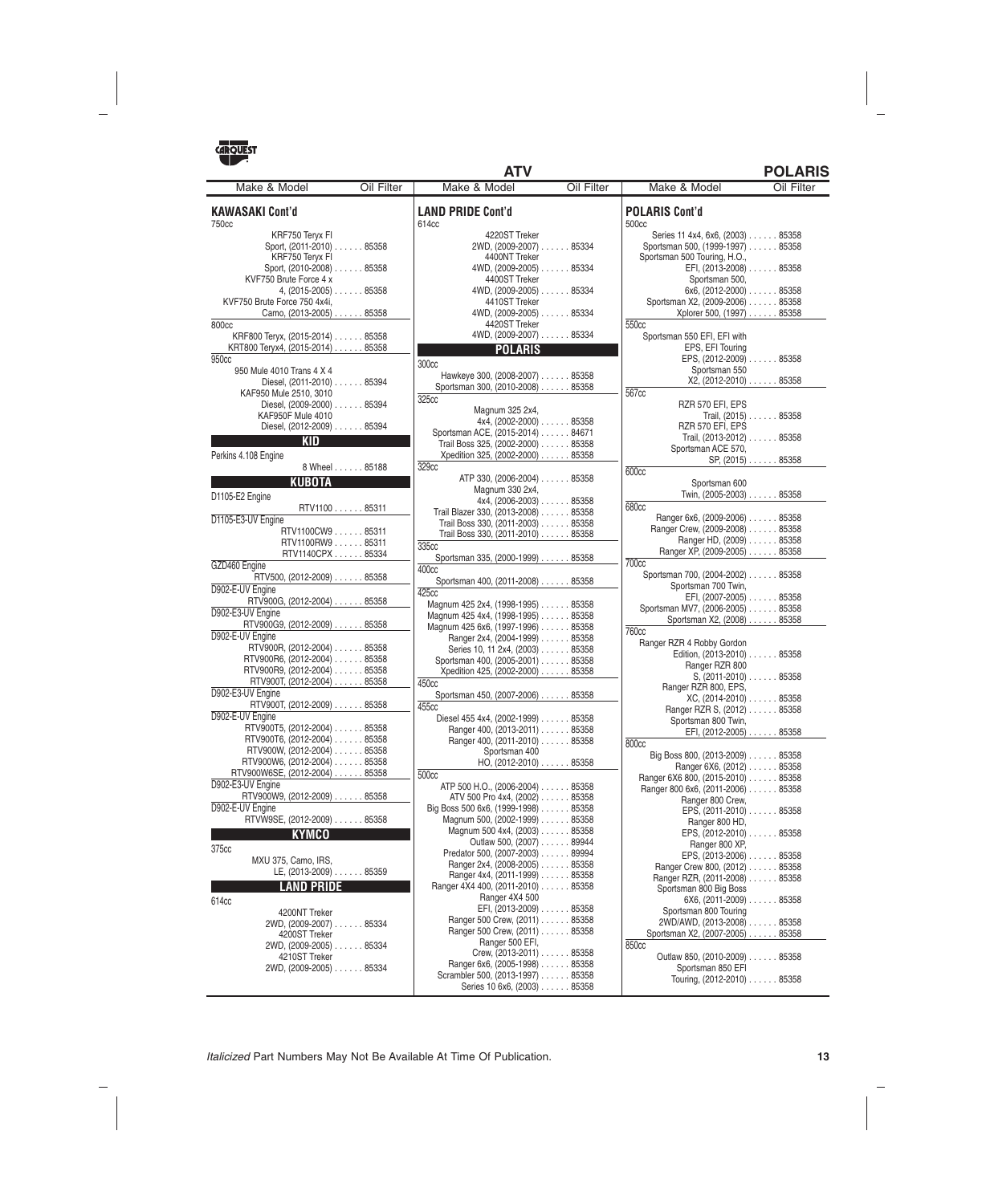750cc

800cc

950cc

### **KAWASAKI Cont'd** KRF750 Teryx FI Sport, (2011-2010) . . . . . . 85358 KRF750 Teryx FI Sport, (2010-2008) ...... 85358 KVF750 Brute Force 4 x 4, (2015-2005) ...... 85358 KVF750 Brute Force 750 4x4i, Camo, (2013-2005) ...... 85358 KRF800 Teryx, (2015-2014) ...... 85358 KRT800 Teryx4, (2015-2014) ...... 85358 950 Mule 4010 Trans 4 X 4 Diesel, (2011-2010) ...... 85394 KAF950 Mule 2510, 3010 Diesel, (2009-2000) ...... 85394 **LAND PRIDE Cont'd** 614cc 4220ST Treker 2WD, (2009-2007) ...... 85334 4400NT Treker  $5334$ 4400ST Treker 334 4410ST Treker  $5334$ 4420ST Treker 4WD, (2009-2007) ...... 85334 **POLARIS** 300cc Hawkeye 300, (2008-2007) ...... 85358 Sportsman 300, (2010-2008) ...... 85358 **POLARIS Cont'd** 500cc 550cc 567cc **ATV POLARIS** Make & Model **Oil Filter | Make & Model Oil Filter**

### KAF950F Mule 4010 Diesel, (2012-2009) ...... 85394 **KID** Perkins 4.108 Engine 8 Wheel ...... 85188 **KUBOTA** D1105-E2 Engine RTV1100 . . . . . . 85311 D1105-E3-UV Engine RTV1100CW9 ...... 85311 RTV1100RW9 ...... 85311 RTV1140CPX ...... 85334 GZD460 Engine RTV500, (2012-2009) ...... 85358 D902-E-UV Engine RTV900G, (2012-2004) ...... 85358 D902-E3-UV Engine RTV900G9, (2012-2009) ...... 85358 D902-E-UV Engine RTV900R, (2012-2004) ...... 85358 RTV900R6, (2012-2004) ...... 85358 RTV900R9, (2012-2004) . . . . . . 85358<br>RTV900T, (2012-2004) . . . . . . 85358 RTV900T, (2012-2004) D902-E3-UV Engine RTV900T, (2012-2009) ...... 85358 D902-E-UV Engine RTV900T5, (2012-2004) ...... 85358 RTV900T6, (2012-2004) . . . . . . 85358<br>RTV900W, (2012-2004) . . . . . . 85358 RTV900W, (2012-2004). RTV900W6, (2012-2004) . . . . . . 85358<br>V900W6SE, (2012-2004) . . . . . . 85358 RTV900W6SE, (2012-2004). D902-E3-UV Engine RTV900W9, (2012-2009) ...... 85358 D902-E-UV Engine RTVW9SE, (2012-2009) ...... 85358 **KYMCO** 375cc MXU 375, Camo, IRS, LE, (2013-2009) ...... 85359 **LAND PRIDE** 614cc

4200NT Treker 2WD, (2009-2007) ...... 85334 4200ST Treker 2WD, (2009-2005) ...... 85334 4210ST Treker 2WD, (2009-2005) ...... 85334

| 4400NT Treker                                                            |  |
|--------------------------------------------------------------------------|--|
| 4WD, (2009-2005) 85334                                                   |  |
| 4400ST Treker                                                            |  |
| 4WD, (2009-2005) 85334                                                   |  |
| 4410ST Treker                                                            |  |
| 4WD, (2009-2005) 85334                                                   |  |
| 4420ST Treker                                                            |  |
| 4WD, (2009-2007) 85334                                                   |  |
| POLARIS                                                                  |  |
| 300cc                                                                    |  |
| Hawkeye 300, (2008-2007) 85358                                           |  |
| Sportsman 300, (2010-2008) 85358                                         |  |
| 325cc                                                                    |  |
| Magnum 325 2x4,                                                          |  |
| $4x4, (2002-2000) \ldots$ 85358                                          |  |
| Sportsman ACE, (2015-2014) 84671                                         |  |
| Trail Boss 325, (2002-2000) 85358                                        |  |
| Xpedition 325, (2002-2000) 85358                                         |  |
| 329cc                                                                    |  |
| ATP 330, (2006-2004) 85358                                               |  |
| Magnum 330 2x4,                                                          |  |
| 4x4, (2006-2003) 85358                                                   |  |
| Trail Blazer 330, (2013-2008) 85358<br>Trail Boss 330, (2011-2003) 85358 |  |
| Trail Boss 330, (2011-2010) 85358                                        |  |
| 335cc                                                                    |  |
| Sportsman 335, (2000-1999) 85358                                         |  |
| 400 <sub>cc</sub>                                                        |  |
| Sportsman 400, (2011-2008) 85358                                         |  |
| 425cc                                                                    |  |
| Magnum 425 2x4, (1998-1995) 85358                                        |  |
| Magnum 425 4x4, (1998-1995) 85358                                        |  |
| Magnum 425 6x6, (1997-1996) 85358                                        |  |
| Ranger 2x4, (2004-1999) 85358                                            |  |
| Series 10, 11 2x4, (2003) 85358                                          |  |
| Sportsman 400, (2005-2001) 85358                                         |  |
| Xpedition 425, (2002-2000) 85358                                         |  |
| 450cc                                                                    |  |
| Sportsman 450, (2007-2006) 85358                                         |  |
| 455cc                                                                    |  |
| Diesel 455 4x4, (2002-1999) 85358                                        |  |
| Ranger 400, (2013-2011) 85358                                            |  |
| Ranger 400, (2011-2010) 85358                                            |  |
| Sportsman 400                                                            |  |
| $HO, (2012-2010) \ldots$ 85358                                           |  |
| 500 <sub>cc</sub>                                                        |  |
| ATP 500 H.O., (2006-2004) 85358                                          |  |
| ATV 500 Pro 4x4, (2002) 85358                                            |  |
| Big Boss 500 6x6, (1999-1998) 85358                                      |  |
| Magnum 500, (2002-1999) 85358                                            |  |
| Magnum 500 4x4, (2003) 85358                                             |  |
| Outlaw 500, (2007) 89944<br>Predator 500, (2007-2003) 89994              |  |
| Ranger 2x4, (2008-2005) 85358                                            |  |
| Ranger 4x4, (2011-1999) 85358                                            |  |
| Ranger 4X4 400, (2011-2010) 85358                                        |  |
| Ranger 4X4 500                                                           |  |
| EFI, (2013-2009) 85358                                                   |  |
| Ranger 500 Crew, (2011) 85358                                            |  |
| Ranger 500 Crew, (2011) 85358                                            |  |
| Ranger 500 EFI,                                                          |  |
| Crew, (2013-2011) 85358                                                  |  |
| Ranger 6x6, (2005-1998) 85358                                            |  |
| Scrambler 500, (2013-1997) 85358                                         |  |
| Series 10 6x6, (2003) 85358                                              |  |

| Make & Model                                                         | Oil Filter          |
|----------------------------------------------------------------------|---------------------|
|                                                                      |                     |
| <b>POLARIS Cont'd</b>                                                |                     |
| 500cc                                                                |                     |
| Series 11 4x4, 6x6, (2003) 85358<br>Sportsman 500, (1999-1997) 85358 |                     |
| Sportsman 500 Touring, H.O.,                                         |                     |
| EFI, (2013-2008) 85358                                               |                     |
| Sportsman 500,                                                       |                     |
| 6x6, $(2012-2000)$ 85358                                             |                     |
| Sportsman X2, (2009-2006) 85358                                      |                     |
| Xplorer 500, (1997) 85358                                            |                     |
| 550cc                                                                |                     |
| Sportsman 550 EFI, EFI with                                          |                     |
| EPS, EFI Touring                                                     |                     |
| EPS, (2012-2009) 85358                                               |                     |
| Sportsman 550<br>X2, (2012-2010) 85358                               |                     |
| 567cc                                                                |                     |
| RZR 570 EFI, EPS                                                     |                     |
|                                                                      | Trail, (2015) 85358 |
| RZR 570 EFI, EPS                                                     |                     |
| Trail, (2013-2012) 85358                                             |                     |
| Sportsman ACE 570,                                                   |                     |
|                                                                      | SP, (2015) 85358    |
| 600cc                                                                |                     |
| Sportsman 600                                                        |                     |
| Twin, (2005-2003) 85358                                              |                     |
| 680 <sub>cc</sub>                                                    |                     |
| Ranger 6x6, (2009-2006) 85358                                        |                     |
| Ranger Crew, (2009-2008) 85358                                       |                     |
| Ranger HD, (2009) 85358<br>Ranger XP, (2009-2005) 85358              |                     |
| <b>700cc</b>                                                         |                     |
| Sportsman 700, (2004-2002) 85358                                     |                     |
| Sportsman 700 Twin,                                                  |                     |
| EFI, (2007-2005) 85358                                               |                     |
| Sportsman MV7, (2006-2005) 85358                                     |                     |
| Sportsman X2, (2008) 85358                                           |                     |
| 760cc                                                                |                     |
| Ranger RZR 4 Robby Gordon                                            |                     |
| Edition, (2013-2010) 85358                                           |                     |
| Ranger RZR 800                                                       |                     |
| $S1$ (2011-2010) $\ldots \ldots$ 85358                               |                     |
| Ranger RZR 800, EPS,<br>XC, (2014-2010) 85358                        |                     |
| Ranger RZR S, (2012) 85358                                           |                     |
| Sportsman 800 Twin,                                                  |                     |
| EFI, (2012-2005) 85358                                               |                     |
| 800cc                                                                |                     |
| Big Boss 800, (2013-2009) 85358                                      |                     |
| Ranger 6X6, (2012) 85358                                             |                     |
| Ranger 6X6 800, (2015-2010) 85358                                    |                     |
| Ranger 800 6x6, (2011-2006) 85358                                    |                     |
| Ranger 800 Crew,                                                     |                     |
| EPS, (2011-2010) 85358                                               |                     |
| Ranger 800 HD,                                                       |                     |
| EPS, (2012-2010) 85358<br>Ranger 800 XP,                             |                     |
| EPS, (2013-2006) 85358                                               |                     |
| Ranger Crew 800, (2012) 85358                                        |                     |
| Ranger RZR, (2011-2008) 85358                                        |                     |
| Sportsman 800 Big Boss                                               |                     |
| 6X6, (2011-2009) 85358                                               |                     |
| Sportsman 800 Touring                                                |                     |
| 2WD/AWD, (2013-2008) 85358                                           |                     |
| Sportsman X2, (2007-2005) 85358                                      |                     |
| 850cc                                                                |                     |

Outlaw 850, (2010-2009) ...... 85358 Sportsman 850 EFI

Touring, (2012-2010) ...... 85358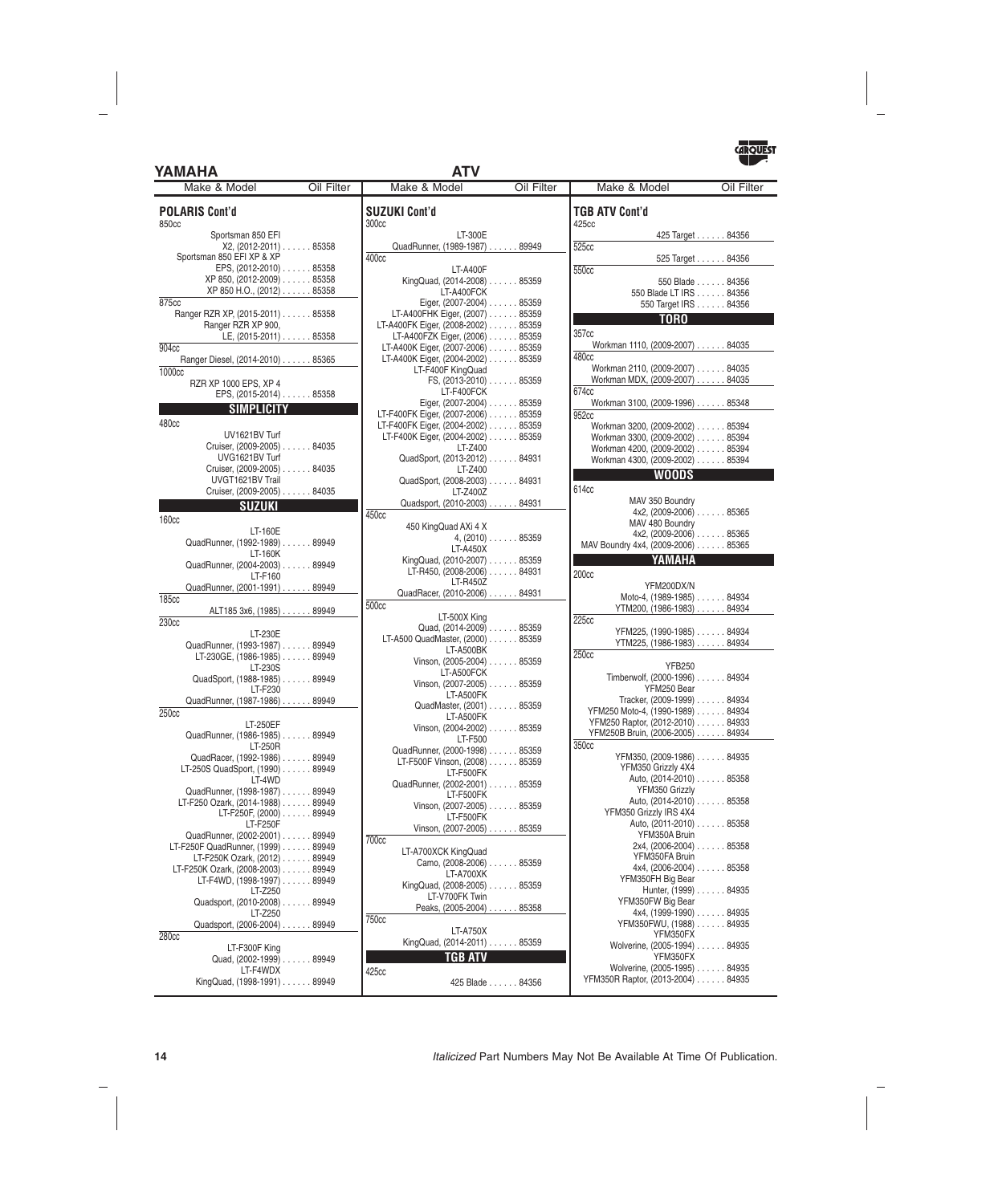### **YAMAHA ATV**



| Make & Model                                                       | Oil Filter | Make & Model                                                             | Oil Filter | Make & Model                                   | Oil Filter                                |
|--------------------------------------------------------------------|------------|--------------------------------------------------------------------------|------------|------------------------------------------------|-------------------------------------------|
| <b>POLARIS Cont'd</b><br>850cc                                     |            | <b>SUZUKI Cont'd</b><br>300 <sub>cc</sub>                                |            | <b>TGB ATV Cont'd</b><br>425cc                 |                                           |
| Sportsman 850 EFI                                                  |            | LT-300E                                                                  |            |                                                | 425 Target 84356                          |
| X2, (2012-2011) 85358                                              |            | QuadRunner, (1989-1987) 89949                                            |            | 525cc                                          |                                           |
| Sportsman 850 EFI XP & XP                                          |            | 400 <sub>cc</sub>                                                        |            |                                                | 525 Target 84356                          |
| EPS, (2012-2010) 85358<br>XP 850, (2012-2009) 85358                |            | LT-A400F<br>KingQuad, (2014-2008) 85359                                  |            | 550cc                                          |                                           |
| XP 850 H.O., (2012) 85358                                          |            | LT-A400FCK                                                               |            |                                                | 550 Blade 84356<br>550 Blade LT IRS 84356 |
| 875cc                                                              |            | Eiger, (2007-2004) 85359                                                 |            |                                                | 550 Target IRS 84356                      |
| Ranger RZR XP, (2015-2011) 85358                                   |            | LT-A400FHK Eiger, (2007) 85359                                           |            | <b>TORO</b>                                    |                                           |
| Ranger RZR XP 900,                                                 |            | LT-A400FK Eiger, (2008-2002) 85359                                       |            | 357cc                                          |                                           |
| LE, (2015-2011) 85358<br>904 <sub>cc</sub>                         |            | LT-A400FZK Eiger, (2006) 85359<br>LT-A400K Eiger, (2007-2006) 85359      |            | Workman 1110, (2009-2007) 84035                |                                           |
| Ranger Diesel, (2014-2010) 85365                                   |            | LT-A400K Eiger, (2004-2002) 85359                                        |            | 480cc                                          |                                           |
| 1000cc                                                             |            | LT-F400F KingQuad                                                        |            | Workman 2110, (2009-2007) 84035                |                                           |
| RZR XP 1000 EPS, XP 4                                              |            | FS, $(2013-2010)$ 85359                                                  |            | Workman MDX, (2009-2007) 84035                 |                                           |
| EPS, (2015-2014) 85358                                             |            | LT-F400FCK                                                               |            | 674cc                                          |                                           |
| SIMPLICITY                                                         |            | Eiger, (2007-2004) 85359                                                 |            | Workman 3100, (2009-1996) 85348                |                                           |
| 480cc                                                              |            | LT-F400FK Eiger, (2007-2006) 85359<br>LT-F400FK Eiger, (2004-2002) 85359 |            | 952cc<br>Workman 3200, (2009-2002) 85394       |                                           |
| UV1621BV Turf                                                      |            | LT-F400K Eiger, (2004-2002) 85359                                        |            | Workman 3300, (2009-2002) 85394                |                                           |
| Cruiser, (2009-2005) 84035                                         |            | LT-Z400                                                                  |            | Workman 4200, (2009-2002) 85394                |                                           |
| UVG1621BV Turf                                                     |            | QuadSport, (2013-2012) 84931                                             |            | Workman 4300, (2009-2002) 85394                |                                           |
| Cruiser, (2009-2005) 84035                                         |            | LT-Z400                                                                  |            | <b>WOODS</b>                                   |                                           |
| UVGT1621BV Trail<br>Cruiser, (2009-2005) 84035                     |            | QuadSport, (2008-2003) 84931                                             |            | 614cc                                          |                                           |
|                                                                    |            | LT-Z400Z<br>Quadsport, (2010-2003) 84931                                 |            | MAV 350 Boundry                                |                                           |
| <b>SUZUKI</b>                                                      |            | 450 <sub>cc</sub>                                                        |            |                                                | $4x2, (2009-2006) \ldots$ 85365           |
| <b>160cc</b>                                                       |            | 450 KingQuad AXi 4 X                                                     |            | MAV 480 Boundry                                |                                           |
| LT-160E<br>QuadRunner, (1992-1989) 89949                           |            | $4, (2010) \ldots$ . 85359                                               |            |                                                | $4x2, (2009-2006) \ldots$ 85365           |
| LT-160K                                                            |            | LT-A450X                                                                 |            | MAV Boundry 4x4, (2009-2006) 85365             |                                           |
| QuadRunner, (2004-2003) 89949                                      |            | KingQuad, (2010-2007) 85359                                              |            | YAMAHA                                         |                                           |
| LT-F160                                                            |            | LT-R450, (2008-2006) 84931<br>LT-R450Z                                   |            | 200cc                                          |                                           |
| QuadRunner, (2001-1991) 89949                                      |            | QuadRacer, (2010-2006) 84931                                             |            | YFM200DX/N<br>Moto-4, (1989-1985) 84934        |                                           |
| <b>185cc</b>                                                       |            | 500cc                                                                    |            | YTM200, (1986-1983) 84934                      |                                           |
| ALT185 3x6, (1985) 89949<br>230 <sub>cc</sub>                      |            | LT-500X King                                                             |            | 225cc                                          |                                           |
| LT-230E                                                            |            | Quad, (2014-2009) 85359                                                  |            | YFM225, (1990-1985) 84934                      |                                           |
| QuadRunner, (1993-1987) 89949                                      |            | LT-A500 QuadMaster, (2000) 85359<br>LT-A500BK                            |            | YTM225, (1986-1983) 84934                      |                                           |
| LT-230GE, (1986-1985) 89949                                        |            | Vinson, (2005-2004) 85359                                                |            | 250 <sub>cc</sub>                              |                                           |
| LT-230S                                                            |            | LT-A500FCK                                                               |            | <b>YFB250</b><br>Timberwolf, (2000-1996) 84934 |                                           |
| QuadSport, (1988-1985) 89949<br>LT-F230                            |            | Vinson, (2007-2005) 85359                                                |            | YFM250 Bear                                    |                                           |
| QuadRunner, (1987-1986) 89949                                      |            | LT-A500FK                                                                |            | Tracker, (2009-1999) 84934                     |                                           |
| 250cc                                                              |            | QuadMaster, (2001) 85359                                                 |            | YFM250 Moto-4, (1990-1989) 84934               |                                           |
| LT-250EF                                                           |            | LT-A500FK<br>Vinson, $(2004-2002)$ 85359                                 |            | YFM250 Raptor, (2012-2010) 84933               |                                           |
| QuadRunner, (1986-1985) 89949                                      |            | LT-F500                                                                  |            | YFM250B Bruin, (2006-2005) 84934               |                                           |
| LT-250R                                                            |            | QuadRunner, (2000-1998) 85359                                            |            | 350cc<br>YFM350, (2009-1986) 84935             |                                           |
| QuadRacer, (1992-1986) 89949<br>LT-250S QuadSport, (1990) 89949    |            | LT-F500F Vinson, (2008) 85359                                            |            | YFM350 Grizzly 4X4                             |                                           |
| LT-4WD                                                             |            | LT-F500FK                                                                |            |                                                | Auto, (2014-2010) 85358                   |
| QuadRunner, (1998-1987) 89949                                      |            | QuadRunner, (2002-2001) 85359<br>LT-F500FK                               |            | YFM350 Grizzly                                 |                                           |
| LT-F250 Ozark, (2014-1988) 89949                                   |            | Vinson, (2007-2005) 85359                                                |            |                                                | Auto, (2014-2010) 85358                   |
| LT-F250F, (2000) 89949                                             |            | LT-F500FK                                                                |            | YFM350 Grizzly IRS 4X4                         | Auto, (2011-2010) 85358                   |
| LT-F250F                                                           |            | Vinson, (2007-2005) 85359                                                |            | YFM350A Bruin                                  |                                           |
| QuadRunner, (2002-2001) 89949<br>LT-F250F QuadRunner, (1999) 89949 |            | <b>700cc</b>                                                             |            |                                                | $2x4, (2006-2004) \ldots$ . 85358         |
| LT-F250K Ozark, (2012) 89949                                       |            | LT-A700XCK KingQuad                                                      |            | YFM350FA Bruin                                 |                                           |
| LT-F250K Ozark, (2008-2003) 89949                                  |            | Camo, (2008-2006) 85359<br>LT-A700XK                                     |            |                                                | $4x4, (2006-2004) \ldots$ . 85358         |
| $LT-F4WD$ , (1998-1997) $\ldots \ldots$ 89949                      |            | KingQuad, (2008-2005) 85359                                              |            | YFM350FH Big Bear                              |                                           |
| LT-Z250                                                            |            | LT-V700FK Twin                                                           |            |                                                | Hunter, (1999) 84935                      |
| Quadsport, (2010-2008) 89949<br>LT-Z250                            |            | Peaks, (2005-2004) 85358                                                 |            | YFM350FW Big Bear                              | $4x4, (1999-1990) \ldots$ 84935           |
| Quadsport, (2006-2004) 89949                                       |            | 750cc                                                                    |            | YFM350FWU, (1988) 84935                        |                                           |
| 280cc                                                              |            | LT-A750X                                                                 |            | YFM350FX                                       |                                           |
| LT-F300F King                                                      |            | KingQuad, (2014-2011) 85359                                              |            | Wolverine, (2005-1994) 84935                   |                                           |
| Quad, (2002-1999) 89949                                            |            | TGB ATV                                                                  |            | YFM350FX                                       |                                           |
| LT-F4WDX                                                           |            | 425cc                                                                    |            | Wolverine, (2005-1995) 84935                   |                                           |
| KingQuad, (1998-1991) 89949                                        |            | 425 Blade 84356                                                          |            | YFM350R Raptor, (2013-2004) 84935              |                                           |